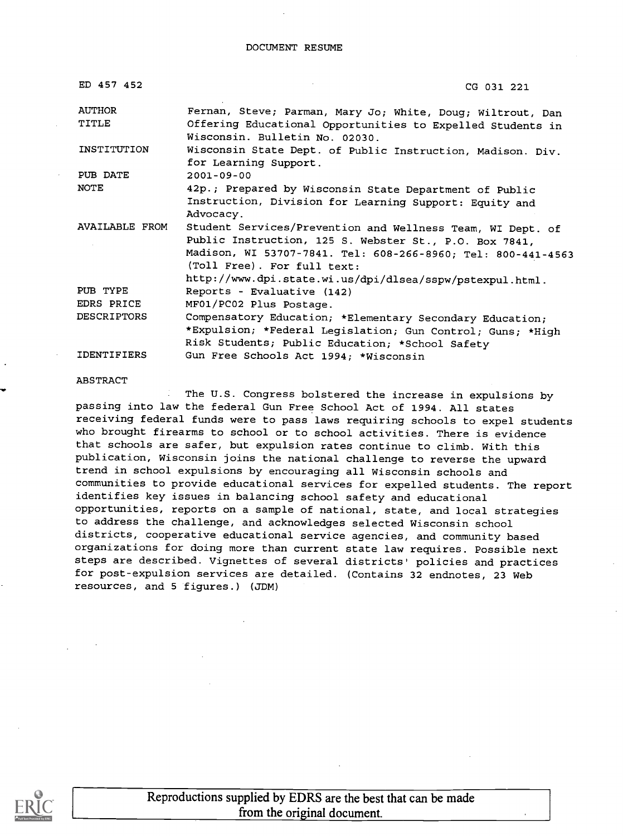| ED 457 452         | CG 031 221                                                                                                           |
|--------------------|----------------------------------------------------------------------------------------------------------------------|
| <b>AUTHOR</b>      | Fernan, Steve; Parman, Mary Jo; White, Doug; Wiltrout, Dan                                                           |
| TITLE              | Offering Educational Opportunities to Expelled Students in<br>Wisconsin. Bulletin No. 02030.                         |
| INSTITUTION        | Wisconsin State Dept. of Public Instruction, Madison. Div.<br>for Learning Support.                                  |
| PUB DATE           | $2001 - 09 - 00$                                                                                                     |
| NOTE               | 42p.; Prepared by Wisconsin State Department of Public                                                               |
|                    | Instruction, Division for Learning Support: Equity and                                                               |
|                    | Advocacy.                                                                                                            |
| AVAILABLE FROM     | Student Services/Prevention and Wellness Team, WI Dept. of<br>Public Instruction, 125 S. Webster St., P.O. Box 7841, |
|                    | Madison, WI 53707-7841. Tel: 608-266-8960; Tel: 800-441-4563                                                         |
|                    | (Toll Free). For full text:                                                                                          |
|                    | http://www.dpi.state.wi.us/dpi/dlsea/sspw/pstexpul.html.                                                             |
| PUB TYPE           | Reports - Evaluative (142)                                                                                           |
| EDRS PRICE         | MF01/PC02 Plus Postage.                                                                                              |
| <b>DESCRIPTORS</b> | Compensatory Education; *Elementary Secondary Education;                                                             |
|                    | *Expulsion; *Federal Legislation; Gun Control; Guns; *High                                                           |
|                    | Risk Students; Public Education; *School Safety                                                                      |
| <b>IDENTIFIERS</b> | Gun Free Schools Act 1994; *Wisconsin                                                                                |

#### ABSTRACT

The U.S. Congress bolstered the increase in expulsions by passing into law the federal Gun Free School Act of 1994. All states receiving federal funds were to pass laws requiring schools to expel students who brought firearms to school or to school activities. There is evidence that schools are safer, but expulsion rates continue to climb. With this publication, Wisconsin joins the national challenge to reverse the upward trend in school expulsions by encouraging all Wisconsin schools and communities to provide educational services for expelled students. The report identifies key issues in balancing school safety and educational opportunities, reports on a sample of national, state, and local strategies to address the challenge, and acknowledges selected Wisconsin school districts, cooperative educational service agencies, and community based organizations for doing more than current state law requires. Possible next steps are described. Vignettes of several districts' policies and practices for post-expulsion services are detailed. (Contains 32 endnotes, 23 Web resources, and 5 figures.) (JDM)

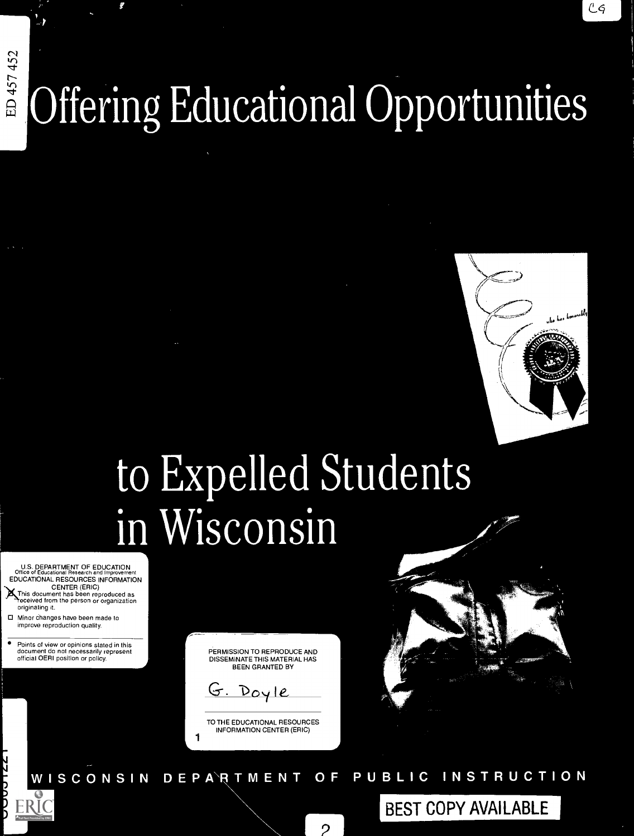# $457\,452$ **E** Offering Educational Opportuni a

# Evnallad Studante in Wisconsin

U.S. DEPARTMENT OF EDUCATION<br>Office of Educational Research and Improvement EDUCATIONAL RESOURCES INFORMATION CENTER (ERIC)<br>This document has been reproduced as<br>received from the person or organization

originating it 0 Minor changes have been made to improve reproduction quality

Points of view or opinions stated in this document do not necessarily represent official OERI position or policy

PERMISSION TO REPRODUCE AND DISSEMINATE THIS MATERIAL HAS BEEN GRANTED BY

G. Doyle

1

TO THE EDUCATIONAL RESOURCES INFORMATION CENTER (ERIC)



BEST COPY AVAILABLE

D E P A R T M E N T O F P U B L I C WISCONSIN **INSTRUCTION** 

2 |

FRI (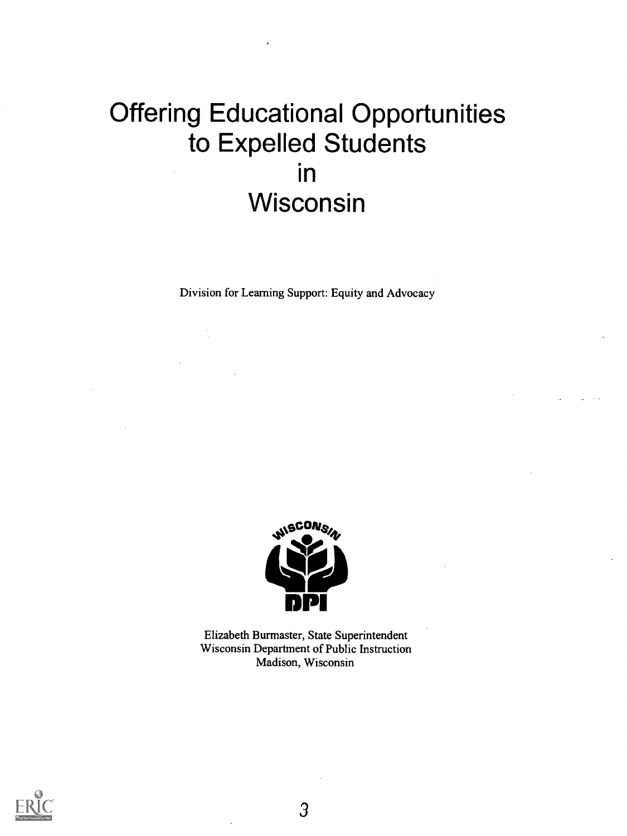# Offering Educational Opportunities to Expelled Students in Wisconsin

Division for Learning Support: Equity and Advocacy



Elizabeth Burmaster, State Superintendent Wisconsin Department of Public Instruction Madison, Wisconsin

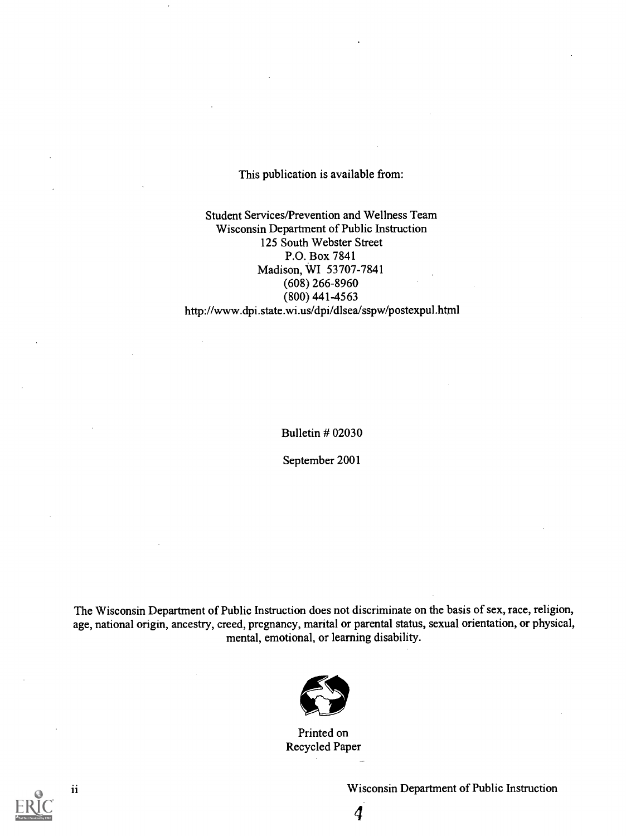#### This publication is available from:

Student Services/Prevention and Wellness Team Wisconsin Department of Public Instruction 125 South Webster Street P.O. Box 7841 Madison, WI 53707-7841 (608) 266-8960 (800) 441-4563 http://www.dpi.state.wi.us/dpi/dlsea/sspw/postexpul.html

Bulletin # 02030

September 2001

The Wisconsin Department of Public Instruction does not discriminate on the basis of sex, race, religion, age, national origin, ancestry, creed, pregnancy, marital or parental status, sexual orientation, or physical, mental, emotional, or learning disability.



Printed on Recycled Paper-

4



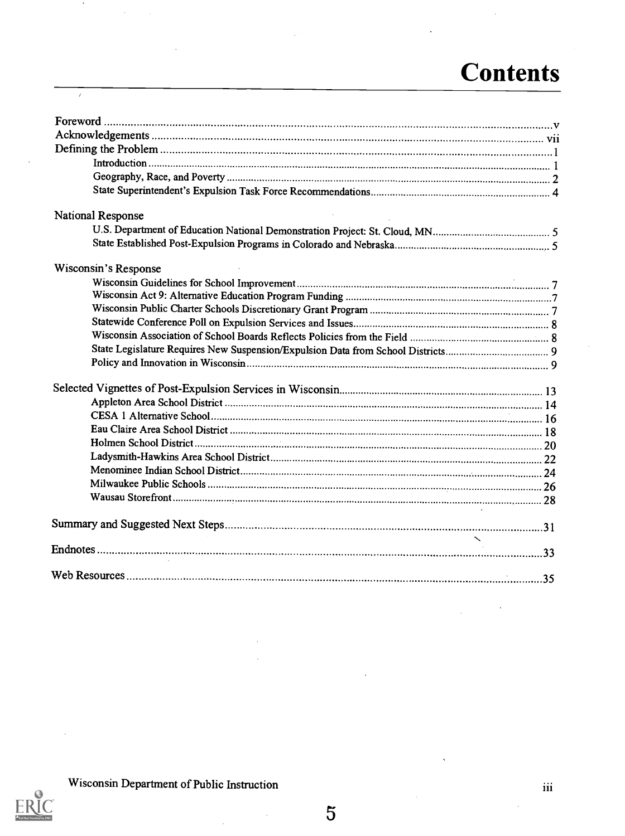# **Contents**

| National Response    |  |
|----------------------|--|
|                      |  |
|                      |  |
| Wisconsin's Response |  |
|                      |  |
|                      |  |
|                      |  |
|                      |  |
|                      |  |
|                      |  |
|                      |  |
|                      |  |
|                      |  |
|                      |  |
|                      |  |
|                      |  |
|                      |  |
|                      |  |
|                      |  |
|                      |  |
|                      |  |
|                      |  |
|                      |  |
|                      |  |
|                      |  |



 $\,$ 

 $\overline{ }$ 

J.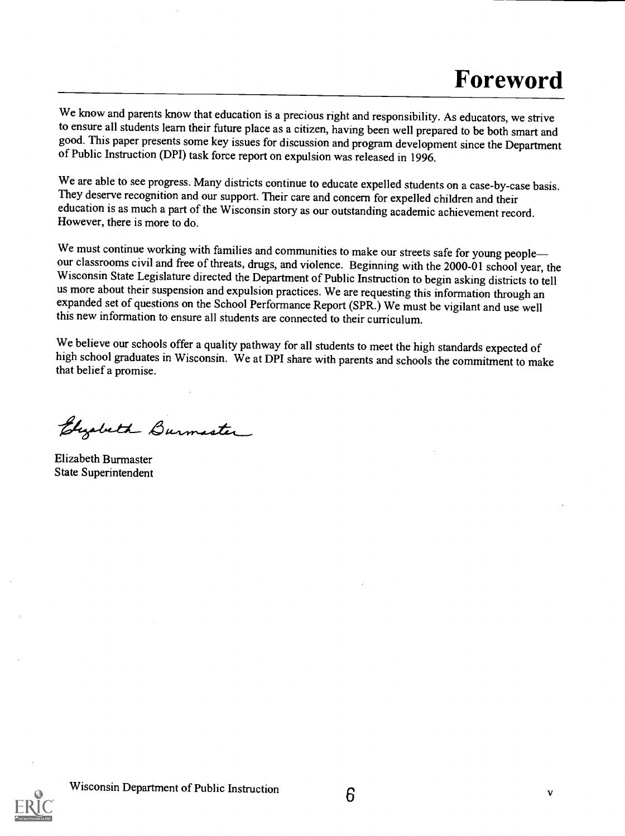We know and parents know that education is a precious right and responsibility. As educators, we strive to ensure all students learn their future place as a citizen, having been well prepared to be both smart and good. This paper presents some key issues for discussion and program development since the Department of Public Instruction (DPI) task force report on expulsion was released in 1996.

We are able to see progress. Many districts continue to educate expelled students on a case-by-case basis. They deserve recognition and our support. Their care and concern for expelled children and their education is as much a part of the Wisconsin story as our outstanding academic achievement record. However, there is more to do.

We must continue working with families and communities to make our streets safe for young people—<br>our classrooms civil and free of threats, drugs, and violence. Beginning with the 2000-01 school year, the Wisconsin State Legislature directed the Department of Public Instruction to begin asking districts to tell us more about their suspension and expulsion practices. We are requesting this information through an expanded set of questions on the School Performance Report (SPR.) We must be vigilant and use well this new information to ensure all students are connected to their curriculum.

We believe our schools offer a quality pathway for all students to meet the high standards expected of high school graduates in Wisconsin. We at DPI share with parents and schools the commitment to make that belief a promise.

Elizabeth Burmaster

Elizabeth Burmaster State Superintendent

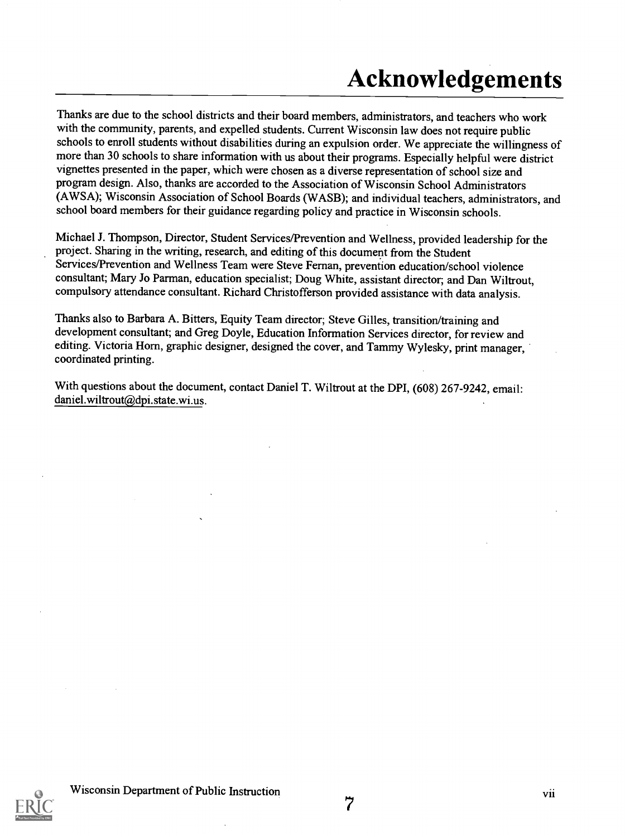# Acknowledgements

Thanks are due to the school districts and their board members, administrators, and teachers who work with the community, parents, and expelled students. Current Wisconsin law does not require public schools to enroll students without disabilities during an expulsion order. We appreciate the willingness of more than 30 schools to share information with us about their programs. Especially helpful were district vignettes presented in the paper, which were chosen as a diverse representation of school size and program design. Also, thanks are accorded to the Association of Wisconsin School Administrators (AWSA); Wisconsin Association of School Boards (WASB); and individual teachers, administrators, and school board members for their guidance regarding policy and practice in Wisconsin schools.

Michael J. Thompson, Director, Student Services/Prevention and Wellness, provided leadership for the project. Sharing in the writing, research, and editing of this document from the Student Services/Prevention and Wellness Team were Steve Fernan, prevention education/school violence consultant; Mary Jo Parman, education specialist; Doug White, assistant director; and Dan Wiltrout, compulsory attendance consultant. Richard Christofferson provided assistance with data analysis.

Thanks also to Barbara A. Bitters, Equity Team director; Steve Gilles, transition/training and development consultant; and Greg Doyle, Education Information Services director, for review and editing. Victoria Horn, graphic designer, designed the cover, and Tammy Wylesky, print manager, coordinated printing.

With questions about the document, contact Daniel T. Wiltrout at the DPI, (608) 267-9242, email: daniel.wiltrout@dpi.state.wi.us.



7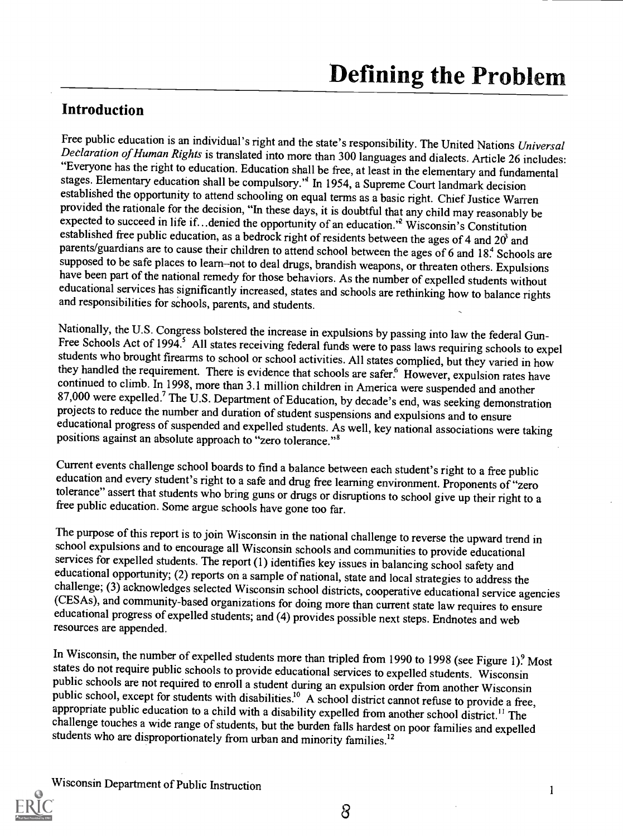### Introduction

Free public education is an individual's right and the state's responsibility. The United Nations Universal Declaration of Human Rights is translated into more than 300 languages and dialects. Article 26 includes: "Everyon stages. Elementary education shall be compulsory." In 1954, a Supreme Court landmark decision established the opportunity to attend schooling on equal terms as a basic right. Chief Justice Warren<br>provided the rationale for the decision, "In these days, it is doubtful that any child may reasonably be expected to succeed in life if... denied the opportunity of an education.<sup>'2</sup> Wisconsin's Constitution established free public education, as a bedrock right of residents between the ages of 4 and 20<sup>3</sup> and parents/guardians are to cause their children to attend school between the ages of 6 and 18.4 Schools are<br>supposed to be safe places to learn–not to deal drugs, brandish weapons, or threaten others. Expulsions<br>have been pa

Nationally, the U.S. Congress bolstered the increase in expulsions by passing into law the federal Gun-<br>Free Schools Act of 1994.<sup>5</sup> All states receiving federal funds were to pass laws requiring schools to expel<br>students continued to climb. In 1998, more than 3.1 million children in America were suspended and another 87,000 were expelled.<sup>7</sup> The U.S. Department of Education, by decade's end, was seeking demonstration projects to reduce the number and duration of student suspensions and expulsions and to ensure educational progress of suspended and expelled students. As well, key national associations were taking positions against an absolute approach to "zero tolerance."'

Current events challenge school boards to find a balance between each student's right to a free public education and every student's right to a safe and drug free learning environment. Proponents of "zero tolerance" assert

The purpose of this report is to join Wisconsin in the national challenge to reverse the upward trend in school expulsions and to encourage all Wisconsin schools and communities to provide educational services for expelled students. The report (1) identifies key issues in balancing school safety and educational opportunity; (2) reports on a sample of national, state and local strategies to address the challenge; (3) acknowledges selected Wisconsin school districts, cooperative educational service agencies (CESAs), and community-based organizations for doing more than current state law requires to ensure educational progress of expelled students; and (4) provides possible next steps. Endnotes and web resources are appended.

In Wisconsin, the number of expelled students more than tripled from 1990 to 1998 (see Figure 1)? Most states do not require public schools to provide educational services to expelled students. Wisconsin public schools are not required to enroll a student during an expulsion order from another Wisconsin public school, except for students with disabilities.<sup>10</sup> A school district cannot refuse to provide a free, appropriate public education to a child with a disability expelled from another school district.<sup>11</sup> The challenge touches a wide range of students, but the burden falls hardest on poor families and expelled students who are disproportionately from urban and minority families.<sup>12</sup>



1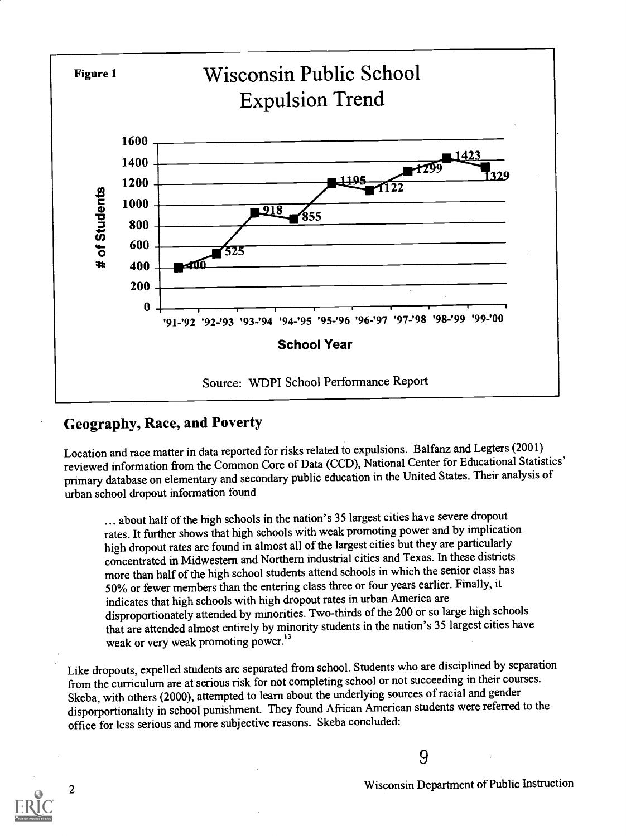

# Geography, Race, and Poverty

Location and race matter in data reported for risks related to expulsions. Balfanz and Legters (2001) reviewed information from the Common Core of Data (CCD), National Center for Educational Statistics' primary database on elementary and secondary public education in the United States. Their analysis of urban school dropout information found

... about half of the high schools in the nation's 35 largest cities have severe dropout rates. It further shows that high schools with weak promoting power and by implication high dropout rates are found in almost all of the largest cities but they are particularly concentrated in Midwestern and Northern industrial cities and Texas. In these districts more than half of the high school students attend schools in which the senior class has 50% or fewer members than the entering class three or four years earlier. Finally, it indicates that high schools with high dropout rates in urban America are disproportionately attended by minorities. Two-thirds of the 200 or solarge high schools that are attended almost entirely by minority students in the nation's 35 largest cities have weak or very weak promoting power.<sup>13</sup>

Like dropouts, expelled students are separated fromschool. Students who are disciplined by separation from the curriculum are at serious risk for not completing school or not succeeding in their courses. Skeba, with others (2000), attempted to learn about the underlying sources of racial and gender disporportionality in school punishment. They found African American students were referred to the office for less serious and more subjective reasons. Skeba concluded:

9

<sup>2</sup> Wisconsin Department of Public Instruction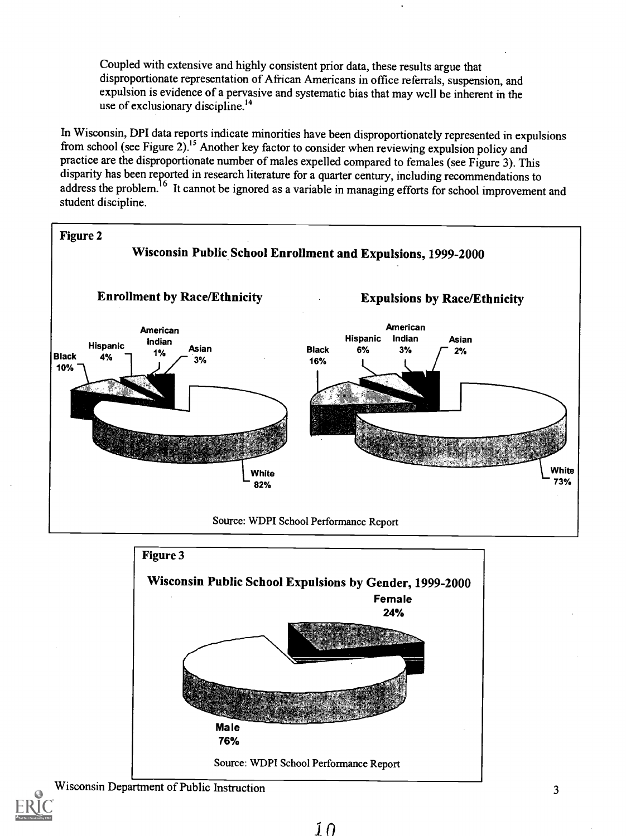Coupled with extensive and highly consistent prior data, these results argue that disproportionate representation of African Americans in office referrals, suspension, and expulsion is evidence of a pervasive and systematic bias that may well be inherent in the use of exclusionary discipline.<sup>14</sup>

In Wisconsin, DPI data reports indicate minorities have been disproportionately represented in expulsions from school (see Figure 2).<sup>15</sup> Another key factor to consider when reviewing expulsion policy and practice are the disproportionate number of males expelled compared to females (see Figure 3). This disparity has been reported in research literature for a quarter century, including recommendations to address the problem.<sup>16</sup> It cannot be ignored as a variable in managing efforts for school improvement and student discipline.



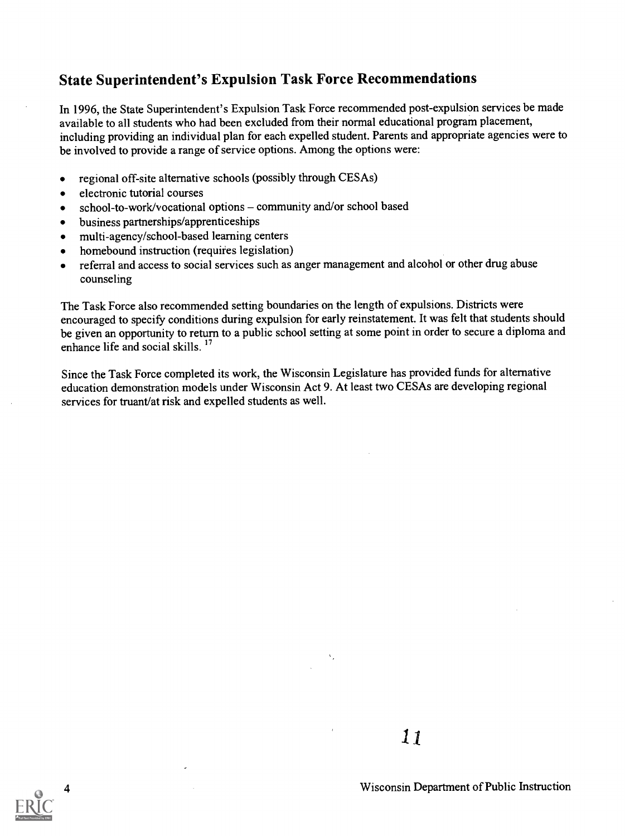### State Superintendent's Expulsion Task Force Recommendations

In 1996, the State Superintendent's Expulsion Task Force recommended post-expulsion services be made available to all students who had been excluded from their normal educational program placement, including providing an individual plan for each expelled student. Parents and appropriate agencies were to be involved to provide a range of service options. Among the options were:

- regional off-site alternative schools (possibly through CESAs)  $\bullet$
- electronic tutorial courses  $\bullet$
- school-to-work/vocational options community and/or school based  $\bullet$
- business partnerships/apprenticeships  $\bullet$
- multi-agency/school-based learning centers  $\bullet$
- homebound instruction (requires legislation)  $\bullet$
- referral and access to social services such as anger management and alcohol or other drug abuse  $\bullet$ counseling

The Task Force also recommended setting boundaries on the length of expulsions. Districts were encouraged to specify conditions during expulsion for early reinstatement. It was felt that students should be given an opportunity to return to a public school setting at some point in order to secure a diploma and enhance life and social skills.<sup>17</sup>

Since the Task Force completed its work, the Wisconsin Legislature has provided funds for alternative education demonstration models under Wisconsin Act 9. At least two CESAs are developing regional services for truant/at risk and expelled students as well.

 $\mathbf{v}_\perp$ 

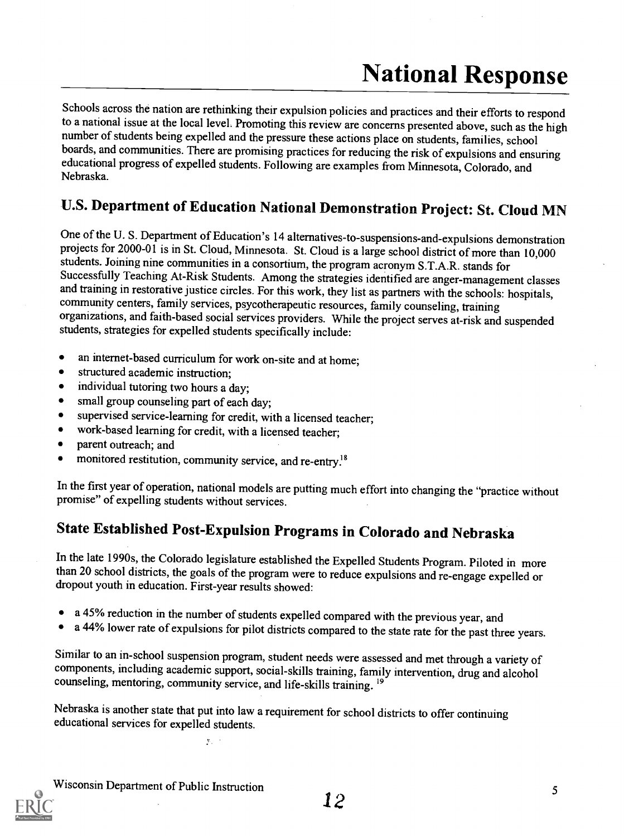# National Response

Schools across the nation are rethinking their expulsion policies and practices and their efforts to respond to a national issue at the local level. Promoting this review are concerns presented above, such as the high number of students being expelled and the pressure these actions place on students, families, school boards, and communities. There are promising practices for reducing the risk of expulsions and ensuring educational progress of expelled students. Following are examples from Minnesota, Colorado, and Nebraska.

# U.S. Department of Education National Demonstration Project: St. Cloud MN

One of the U. S. Department of Education's 14 alternatives-to-suspensions-and-expulsions demonstration projects for 2000-01 is in St. Cloud, Minnesota. St. Cloud is a large school district of more than 10,000 students. Joining nine communities in a consortium, the program acronym S.T.A.R. stands for and training in restorative justice circles. For this work, they list as partners with the schools: hospitals, community centers, family services, psycotherapeutic resources, family counseling, training organizations, and faith-based social services providers. While the project serves at-risk and suspended students, strategies for expelled students specifically include:

- an internet-based curriculum for work on-site and at home;  $\bullet$
- structured academic instruction;  $\bullet$
- individual tutoring two hours a day;  $\bullet$
- $\bullet$ small group counseling part of each day;
- supervised service-learning for credit, with a licensed teacher;  $\bullet$
- work-based learning for credit, with a licensed teacher;  $\bullet$
- $\bullet$ parent outreach; and
- monitored restitution, community service, and re-entry.<sup>18</sup>  $\bullet$

In the first year of operation, national models are putting much effort into changing the "practice without promise" of expelling students without services.

# State Established Post-Expulsion Programs in Colorado and Nebraska

In the late 1990s, the Colorado legislature established the Expelled Students Program. Piloted in more than 20 school districts, the goals of the program were to reduce expulsions and re-engage expelled or dropout youth in education. First-year results showed:

- a 45% reduction in the number of students expelled compared with the previous year, and
- a 44% lower rate of expulsions for pilot districts compared to the state rate for the past three years.

Similar to an in-school suspension program, student needs were assessed and met through a variety of components, including academic support, social-skills training, family intervention, drug and alcohol counseling, mentori

Nebraska is another state that put into law a requirement for school districts to offer continuing educational services for expelled students.

 $\mu_{\rm{1}}$   $\rightarrow$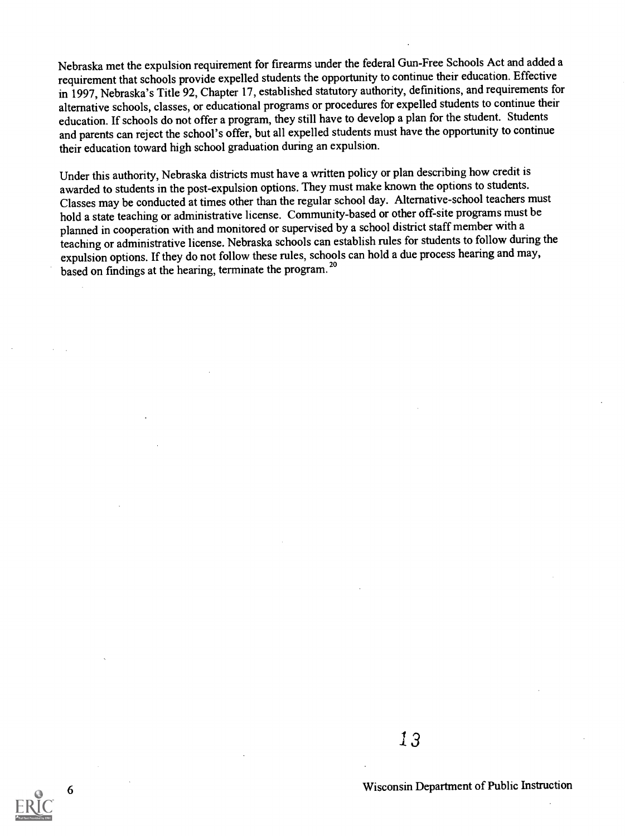Nebraska met the expulsion requirement for firearms under the federal Gun-Free Schools Act and added a requirement that schools provide expelled students the opportunity to continue their education. Effective in 1997, Nebraska's Title 92, Chapter 17, established statutory authority, definitions, and requirements for alternative schools, classes, or educational programs or procedures for expelled students to continue their education. If schools do not offer a program, they still have to develop a plan for the student. Students and parents can reject the school's offer, but all expelled students must have the opportunity to continue their education toward high school graduation during an expulsion.

Under this authority, Nebraska districts must have a written policy or plan describing how credit is awarded to students in the post-expulsion options. They must make known the options to students. Classes may be conducted at times other than the regular school day. Alternative-school teachers must hold a state teaching or administrative license. Community-based or other off-site programs must be planned in cooperation with and monitored or supervised by a school district staff member with a teaching or administrative license. Nebraska schools can establish rules for students to follow during the expulsion options. If they do not follow these rules, schools can hold a due process hearing and may, based on findings at the hearing, terminate the program.<sup>20</sup>



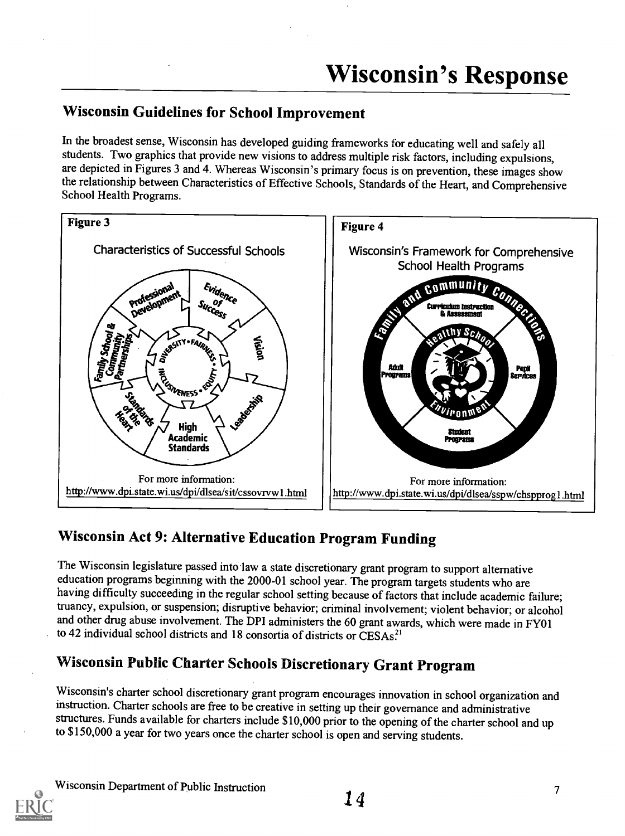# Wisconsin Guidelines for School Improvement

In the broadest sense, Wisconsin has developed guiding frameworks for educating well and safely all students. Two graphics that provide new visions to address multiple risk factors, including expulsions, are depicted in Figures 3 and 4. Whereas Wisconsin's primary focus is on prevention, these images show the relationship between Characteristics of Effective Schools, Standards of the Heart, and Comprehensive School Health Programs.



# Wisconsin Act 9: Alternative Education Program Funding

The Wisconsin legislature passed into law a state discretionary grant program to support alternative education programs beginning with the 2000-01 school year. The program targets students who are having difficulty succeeding in the regular school setting because of factors that include academic failure; truancy, expulsion, or suspension; disruptive behavior; criminal involvement; violent behavior; or alcohol and other drug abuse involvement. The DPI administers the 60 grant awards, which were made in FY01 to 42 individual school districts and 18 consortia of districts or CESAs.<sup>21</sup>

# Wisconsin Public Charter Schools Discretionary Grant Program

Wisconsin's charter school discretionary grant program encourages innovation in school organization and instruction. Charter schools are free to be creative in setting up their governance and administrative structures. Funds available for charters include \$10,000 prior to the opening of the charter school and up to \$150,000 a year for two years once the charter school is open and serving students.

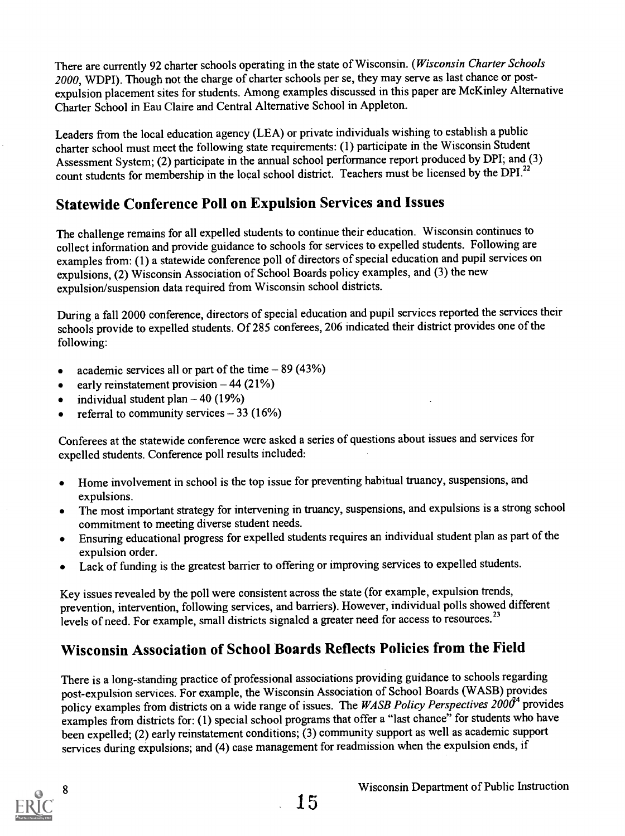There are currently 92 charter schools operating in the state of Wisconsin. (Wisconsin Charter Schools 2000, WDPI). Though not the charge of charter schools per se, they may serve as last chance or postexpulsion placement sites for students. Among examples discussed in this paper are McKinley Alternative Charter School in Eau Claire and Central Alternative School in Appleton.

Leaders from the local education agency (LEA) or private individuals wishing to establish a public charter school must meet the following state requirements: (1) participate in the Wisconsin Student Assessment System; (2) participate in the annual school performance report produced by DPI; and (3) count students for membership in the local school district. Teachers must be licensed by the DPI.<sup>22</sup>

# Statewide Conference Poll on Expulsion Services and Issues

The challenge remains for all expelled students to continue their education. Wisconsin continues to collect information and provide guidance to schools for services to expelled students. Following are examples from: (1) a statewide conference poll of directors of special education and pupil services on expulsions, (2) Wisconsin Association of School Boards policy examples, and (3) the new expulsion/suspension data required from Wisconsin school districts.

During a fall 2000 conference, directors of special education and pupil services reported the services their schools provide to expelled students. Of 285 conferees, 206 indicated their district provides one of the following:

- academic services all or part of the time  $-89 (43%)$
- early reinstatement provision  $-44$  (21%)  $\bullet$
- individual student plan  $-40$  (19%)  $\bullet$
- referral to community services  $-33$  (16%)  $\bullet$

Conferees at the statewide conference were asked a series of questions about issues and services for expelled students. Conference poll results included:

- Home involvement in school is the top issue for preventing habitual truancy, suspensions, and expulsions.
- The most important strategy for intervening in truancy, suspensions, and expulsions is a strong school  $\bullet$ commitment to meeting diverse student needs.
- Ensuring educational progress for expelled students requires an individual student plan as partof the expulsion order.
- Lack of funding is the greatest barrier to offering or improving services to expelled students.  $\bullet$

Key issues revealed by the poll were consistent across the state (for example, expulsion trends, prevention, intervention, following services, and barriers). However, individual polls showed different levels of need. For example, small districts signaled a greater need for access to resources.<sup>23</sup>

# Wisconsin Association of School Boards Reflects Policies from the Field

There is a long-standing practice of professional associations providing guidance to schools regarding post-expulsion services. For example, the Wisconsin Association of School Boards (WASB) provides policy examples from districts on a wide range of issues. The WASB Policy Perspectives  $2000^4$  provides examples from districts for: (1) special school programs that offer a "last chance" for students who have been expelled; (2) early reinstatement conditions; (3) community support as well as academic support services during expulsions; and (4) case management for readmission when the expulsion ends, if

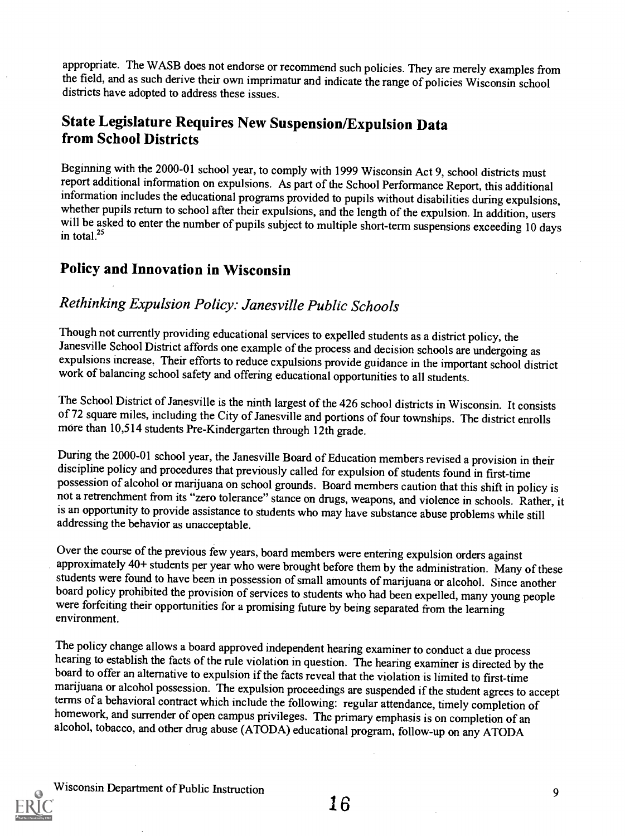appropriate. The WASB does not endorse or recommend such policies. They are merely examples from the field, and as such derive their own imprimatur and indicate the range of policies Wisconsin school districts have adopted to address these issues.

# State Legislature Requires New Suspension/Expulsion Data from School Districts

Beginning with the 2000-01 school year, to comply with 1999 Wisconsin Act 9, school districts must report additional information on expulsions. As part of the School Performance Report, this additional information includes the educational programs provided to pupils without disabilities during expulsions, will be asked to enter the number of pupils subject to multiple short-term suspensions exceeding 10 days in tota1.25

### Policy and Innovation in Wisconsin

### Rethinking Expulsion Policy: Janesville Public Schools

Though not currently providing educational services to expelled students as a district policy, the Janesville School District affords one example of the process and decision schools are undergoing as expulsions increase. Their efforts to reduce expulsions provide guidance in the important school district work of balancing school safety and offering educational opportunities to all students.

The School District of Janesville is the ninth largest of the 426 school districts in Wisconsin. It consists of 72 square miles, including the City of Janesville and portions of four townships. The district enrolls more than 10,514 students Pre-Kindergarten through 12th grade.

During the 2000-01 school year, the Janesville Board of Education members revised a provision in their discipline policy and procedures that previously called for expulsion of students found in first-time possession of alc not a retrenchment from its "zero tolerance" stance on drugs, weapons, and violence in schools. Rather, it is an opportunity to provide assistance to students who may have substance abuse problems while still addressing the behavior as unacceptable.

Over the course of the previous few years, board members were entering expulsion orders against approximately 40+ students per year who were brought before them by the administration. Many of these students were found to have been in possession of small amounts of marijuana or alcohol. Since another board policy prohibited the provision of services to students who had been expelled, many young people were forfeiting their opportunities for a promising future by being separated from the learning environment.

The policy change allows a board approved independent hearing examiner to conduct a due process<br>hearing to establish the facts of the rule violation in question. The hearing examiner is directed by the<br>board to offer an al marijuana or alcohol possession. The expulsion proceedings are suspended if the student agrees to accept terms of a behavioral contract which include the following: regular attendance, timely completion of homework, and surrender of open campus privileges. The primary emphasis is on completion of an alcohol, tobacco, and other drug abuse (ATODA) educational program, follow-up on any ATODA

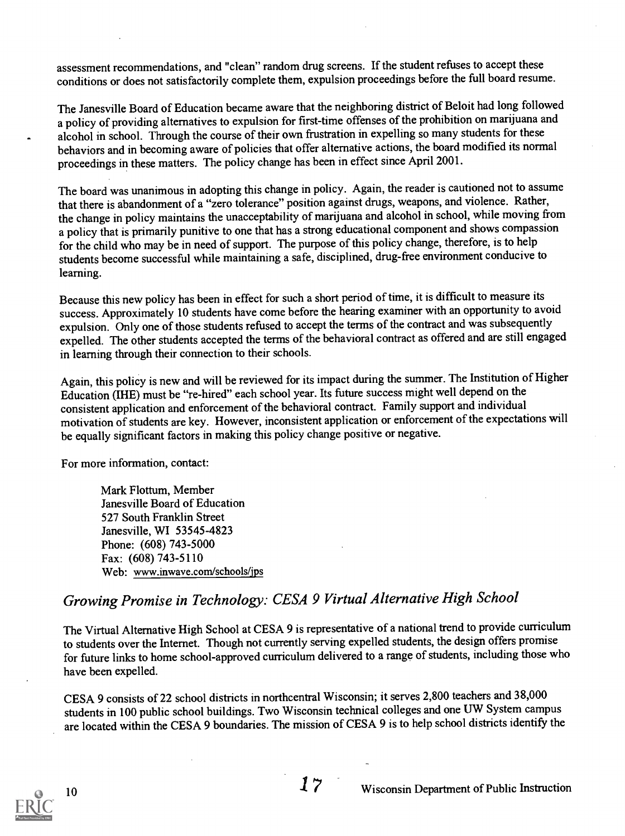assessment recommendations, and "clean" random drug screens. If the student refuses to accept these conditions or does not satisfactorily complete them, expulsion proceedings before the full board resume.

The Janesville Board of Education became aware that the neighboring district of Beloit had long followed a policy of providing alternatives to expulsion for first-time offenses of the prohibition on marijuana and alcohol in school. Through the course of their own frustration in expelling so many students for these behaviors and in becoming aware of policies that offer alternative actions, the board modified its normal proceedings in these matters. The policy change has been in effect since April 2001.

The board was unanimous in adopting this change in policy. Again, the reader is cautioned not to assume that there is abandonment of a "zero tolerance" position against drugs, weapons, and violence. Rather, the change in policy maintains the unacceptability of marijuana and alcohol in school, while moving from a policy that is primarily punitive to one that has a strong educational component and shows compassion for the child who may be in need of support. The purpose of this policy change, therefore, is to help students become successful while maintaining a safe, disciplined, drug-free environment conducive to learning.

Because this new policy has been in effect for such a short period of time, it is difficult to measure its success. Approximately 10 students have come before the hearing examiner with an opportunity to avoid expulsion. Only one of those students refused to accept the terms of the contract and was subsequently expelled. The other students accepted the terms of the behavioral contract as offered and are still engaged in learning through their connection to their schools.

Again, this policy is new and will be reviewed for its impact during the summer. The Institution of Higher Education (IHE) must be "re-hired" each school year. Its future success mightwell depend on the consistent application and enforcement of the behavioral contract. Family support and individual motivation of students are key. However, inconsistent application or enforcement of the expectations will be equally significant factors in making this policy change positive or negative.

For more information, contact:

Mark Flottum, Member Janesville Board of Education 527 South Franklin Street Janesville, WI 53545-4823 Phone: (608) 743-5000 Fax: (608) 743-5110 Web: www.inwave.com/schools/jps

# Growing Promise in Technology: CESA 9 Virtual Alternative High School

The Virtual Alternative High School at CESA 9 is representative of a national trend to provide curriculum to students over the Internet. Though not currently serving expelled students, the design offers promise for future links to home school-approved curriculum delivered to a range of students, including those who have been expelled.

CESA 9 consists of 22 school districts in northcentral Wisconsin; it serves 2,800 teachers and 38,000 students in 100 public school buildings. Two Wisconsin technical colleges and one UW System campus are located within the CESA 9 boundaries. The mission of CESA 9 is to help school districts identify the

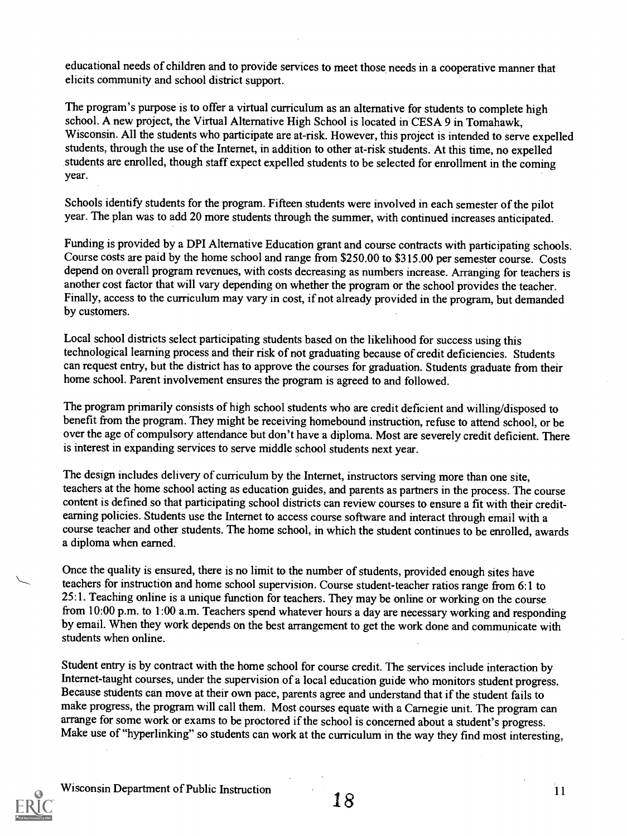educational needs of children and to provide services to meet those needs in a cooperative manner that elicits community and school district support.

The program's purpose is to offer a virtual curriculum as an alternative for students to complete high school. A new project, the Virtual Alternative High School is located in CESA 9 in Tomahawk, Wisconsin. All the students who participate are at-risk. However, this project is intended to serve expelled students, through the use of the Internet, in addition to other at-risk students. At this time, no expelled students are enrolled, though staff expect expelled students to be selected for enrollment in the coming year.

Schools identify students for the program. Fifteen students were involved in each semester of the pilot year. The plan was to add 20 more students through the summer, with continued increases anticipated.

Funding is provided by a DPI Alternative Education grant and course contracts with participating schools. Course costs are paid by the home school and range from \$250.00 to \$315.00 per semester course. Costs depend on overall program revenues, with costs decreasing as numbers increase. Arranging for teachers is another cost factor that will vary depending on whether the program or the school provides the teacher. Finally, access to the curriculum may vary in cost, if not already provided in the program, but demanded by customers.

Local school districts select participating students based on the likelihood for success using this technological learning process and their risk of not graduating because of credit deficiencies. Students can request entry, but the district has to approve the courses for graduation. Students graduate from their home school. Parent involvement ensures the program is agreed to and followed.

The program primarily consists of high school students who are credit deficient and willing/disposed to benefit from the program. They might be receiving homebound instruction, refuse to attend school, or be over the age of compulsory attendance but don't have a diploma. Most are severely credit deficient. There is interest in expanding services to serve middle school students next year.

The design includes delivery of curriculum by the Internet, instructors serving more than one site, teachers at the home school acting as education guides, and parents as partners in the process. The course content is defined so that participating school districts can review courses to ensure a fit with their creditearning policies. Students use the Internet to access course software and interact through email with a course teacher and other students. The home school, in which the student continues to be enrolled, awards a diploma when earned.

Once the quality is ensured, there is no limit to the number of students, provided enough sites have teachers for instruction and home school supervision. Course student-teacher ratios range from 6:1 to 25:1. Teaching online is a unique function for teachers. They may be online or working on the course from 10:00 p.m. to 1:00 a.m. Teachers spend whatever hours a day are necessary working and responding by email. When they work depends on the best arrangement to get the work done and communicate with students when online.

Student entry is by contract with the home school for course credit. The services include interaction by Internet-taught courses, under the supervision of a local education guide who monitors student progress. Because students can move at their own pace, parents agree and understand that if the student fails to make progress, the program will call them. Most courses equate with a Carnegie unit. The program can arrange for some work or exams to be proctored if the school is concerned about a student's progress. Make use of "hyperlinking" so students can work at the curriculum in the way they find most interesting,

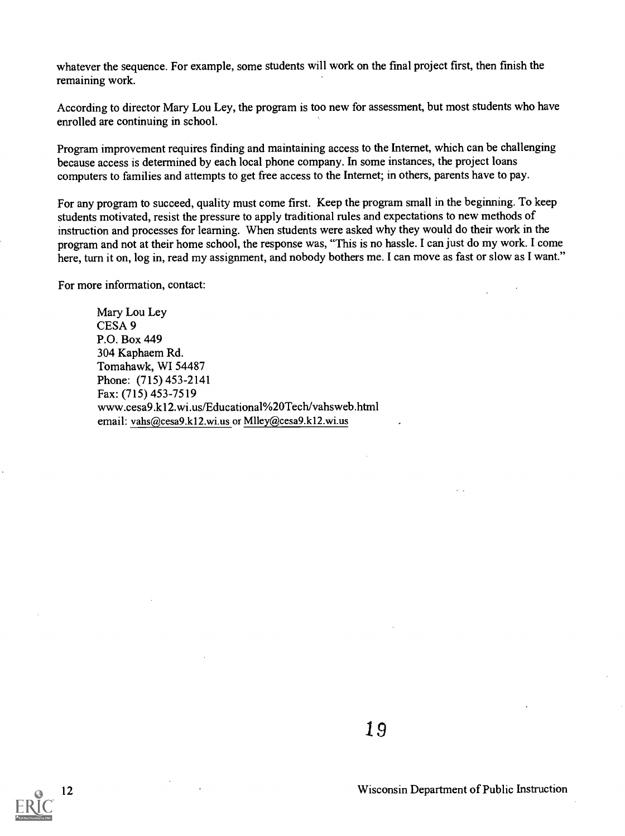whatever the sequence. For example, some students will work on the final project first, then finish the remaining work.

According to director Mary Lou Ley, the program is too new for assessment, but most students who have enrolled are continuing in school.

Program improvement requires finding and maintaining access to the Internet, which can be challenging because access is determined by each local phone company. In some instances, the project loans computers to families and attempts to get free access to the Internet; in others, parents have to pay.

For any program to succeed, quality must come first. Keep the program small in the beginning. To keep students motivated, resist the pressure to apply traditional rules and expectations to new methods of instruction and processes for learning. When students were asked why they would do their work in the program and not at their home school, the response was, "This is no hassle. I can just do my work. I come here, turn it on, log in, read my assignment, and nobody bothers me. I can move as fast or slow as I want."

For more information, contact:

Mary Lou Ley CESA 9 P.O. Box 449 304 Kaphaem Rd. Tomahawk, WI 54487 Phone: (715) 453-2141 Fax: (715) 453-7519 www.cesa9.k12.wi.us/Educational%20Tech/vahsweb.html email: vahs@cesa9.k12.wi.us or Mlley@cesa9.k12.wi.us

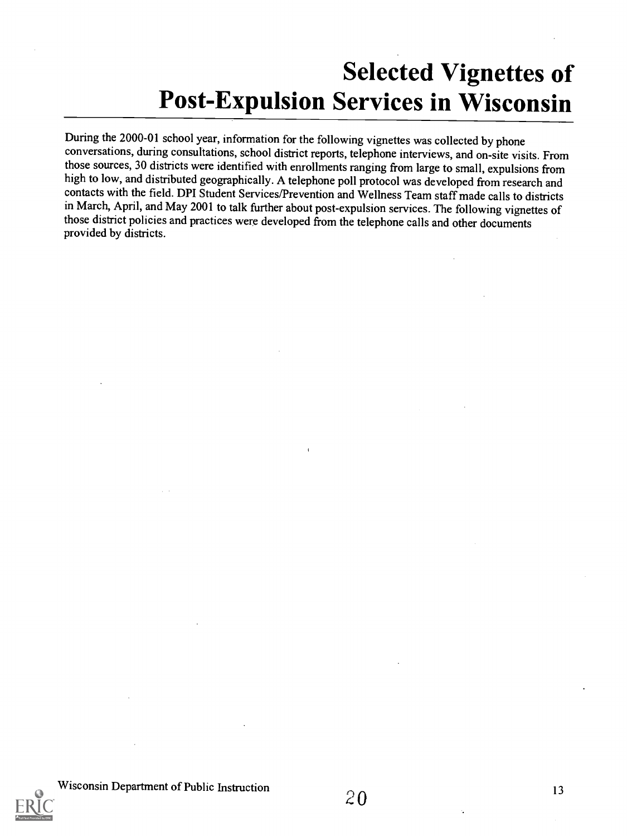# Selected Vignettes of Post-Expulsion Services in Wisconsin

During the 2000-01 school year, information for the following vignettes was collected by phone conversations, during consultations, school district reports, telephone interviews, and on-site visits. From those sources, 30 districts were identified with enrollments ranging from large to small, expulsions from high to low, and distributed geographically. A telephone poll protocol was developed from research and contacts with the field. DPI Student Services/Prevention and Wellness Team staff made calls to districts in March, April, and May 2001 to talk further about post-expulsion services. The following vignettes of those district policies and practices were developed from the telephone calls and other documents provided by districts.

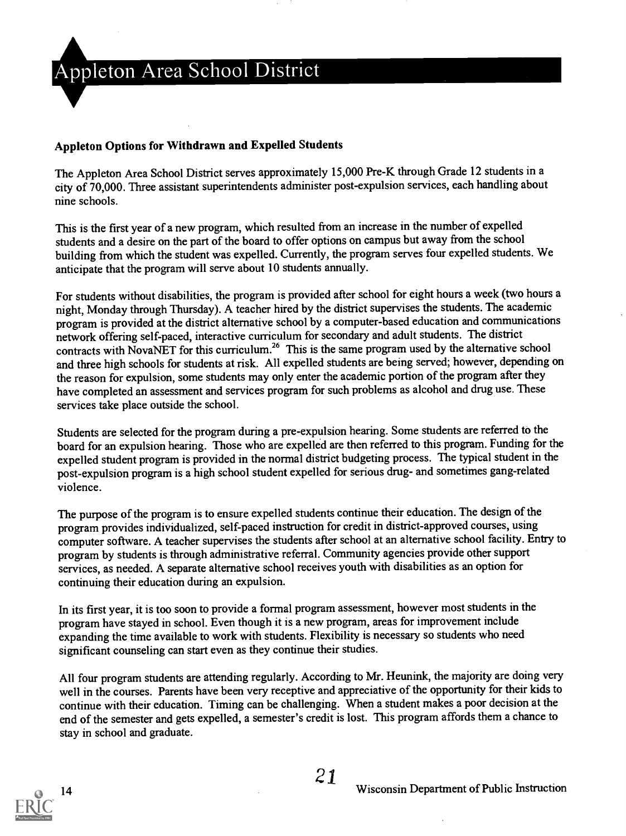

#### Appleton Options for Withdrawn and Expelled Students

The Appleton Area School District serves approximately 15,000 Pre-K through Grade 12 students in a city of 70,000. Three assistant superintendents administer post-expulsion services, each handling about nine schools.

This is the first year of a new program, which resulted from an increase in the number of expelled students and a desire on the part of the board to offer options on campus but away from the school building from which the student was expelled. Currently, the program serves four expelled students. We anticipate that the program will serve about 10 students annually.

For students without disabilities, the program is provided after school for eight hours a week(two hours a night, Monday through Thursday). A teacher hired by the district supervises the students. The academic program is provided at the district alternative school by a computer-based education and communications network offering self-paced, interactive curriculum for secondary and adult students. The district contracts with NovaNET for this curriculum.<sup>26</sup> This is the same program used by the alternative school and three high schools for students at risk. All expelled students are being served; however, depending on the reason for expulsion, some students may only enter the academic portion of the program after they have completed an assessment and services program for such problems as alcohol and drug use. These services take place outside the school.

Students are selected for the program during a pre-expulsion hearing. Some students are referred to the board for an expulsion hearing. Those who are expelled are then referred to this program. Funding for the expelled student program is provided in the normal district budgeting process. The typical student in the post-expulsion program is a high school student expelled for serious drug- and sometimes gang-related violence.

The purpose of the program is to ensure expelled students continue their education. The design of the program provides individualized, self-paced instruction for credit in district-approved courses, using computer software. A teacher supervises the students after school at an alternative school facility. Entry to program by students is through administrative referral. Community agencies provide other support services, as needed. A separate alternative school receives youth with disabilities as an option for continuing their education during an expulsion.

In its first year, it is too soon to provide a formal program assessment, however most students in the program have stayed in school. Even though it is a new program, areas for improvement include expanding the time available to work with students. Flexibility is necessary so students who need significant counseling can start even as they continue their studies.

All four program students are attending regularly. According to Mr. Heunink, the majority are doing very well in the courses. Parents have been very receptive and appreciative of the opportunity for their kids to continue with their education. Timing can be challenging. When a student makes a poor decision at the end of the semester and gets expelled, a semester's credit is lost. This program affords them a chance to stay in school and graduate.

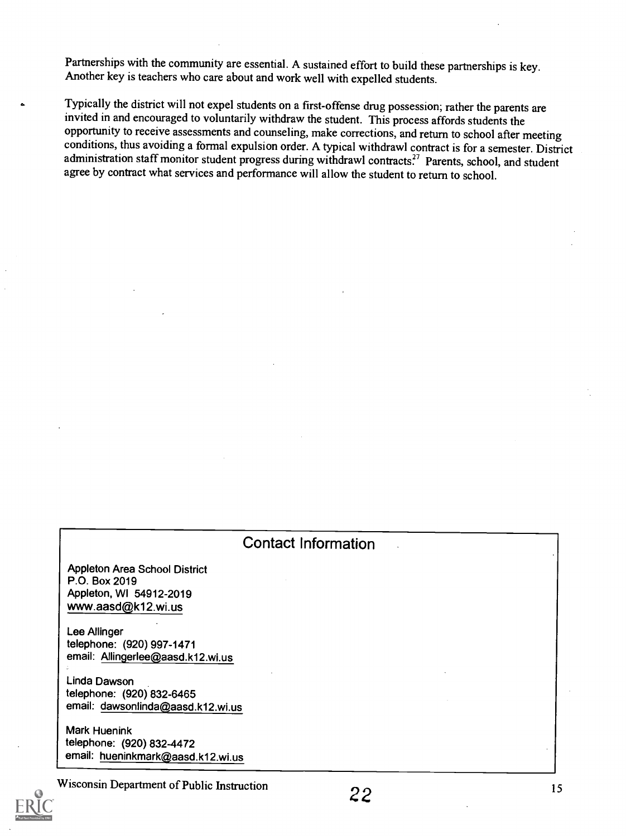Partnerships with the community are essential. A sustained effort to build these partnerships is key. Another key is teachers who care about and work well with expelled students.

Typically the district will not expel students on a first-offense drug possession; rather the parents are invited in and encouraged to voluntarily withdraw the student. This process affords students the opportunity to receive assessments and counseling, make corrections, and return to school after meeting conditions, thus avoiding a formal expulsion order. A typical withdrawl contract is for a semester. District administration staff monitor student progress during withdrawl contracts.<sup>27</sup> Parents, school, and student agree by contract what services and performance will allow the student to return to school.

| <b>Contact Information</b>                                                                             |  |    |  |
|--------------------------------------------------------------------------------------------------------|--|----|--|
| <b>Appleton Area School District</b><br>P.O. Box 2019<br>Appleton, WI 54912-2019<br>www.aasd@k12.wi.us |  |    |  |
| Lee Allinger<br>telephone: (920) 997-1471<br>email: Allingerlee@aasd.k12.wi.us                         |  |    |  |
| Linda Dawson<br>telephone: (920) 832-6465<br>email: dawsonlinda@aasd.k12.wi.us                         |  |    |  |
| <b>Mark Huenink</b><br>telephone: (920) 832-4472<br>email: hueninkmark@aasd.k12.wi.us                  |  |    |  |
| Wisconsin Department of Public Instruction                                                             |  | 15 |  |

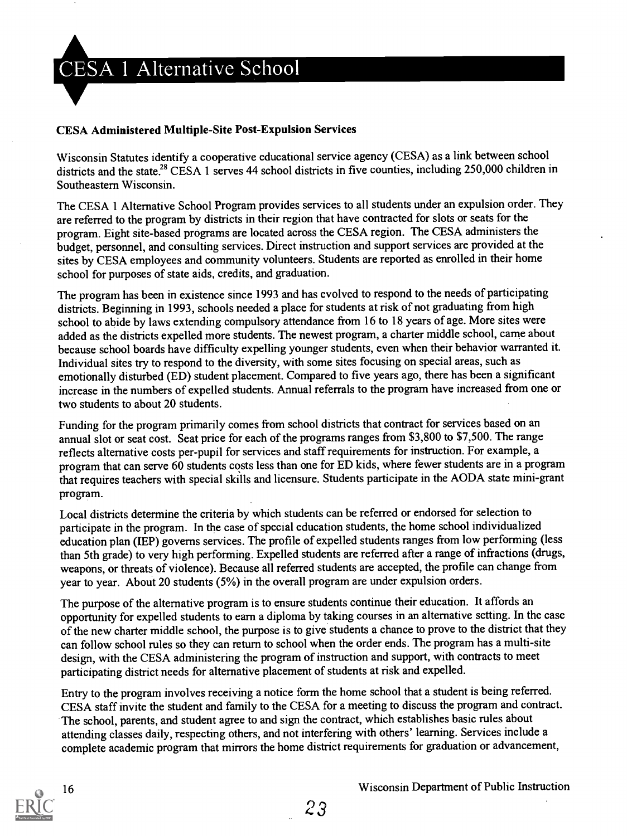

#### CESA Administered Multiple-Site Post-Expulsion Services

Wisconsin Statutes identify a cooperative educational service agency (CESA) as a link between school districts and the state.<sup>28</sup> CESA 1 serves 44 school districts in five counties, including 250,000 children in Southeastern Wisconsin.

The CESA 1 Alternative School Program provides services to all students under an expulsion order. They are referred to the program by districts in their region that have contracted for slots or seats for the program. Eight site-based programs are located across the CESA region. The CESA administers the budget, personnel, and consulting services. Direct instruction and support services are provided at the sites by CESA employees and community volunteers. Students are reported as enrolled in their home school for purposes of state aids, credits, and graduation.

The program has been in existence since 1993 and has evolved to respond to the needs of participating districts. Beginning in 1993, schools needed a place for students at risk of not graduating from high school to abide by laws extending compulsory attendance from 16 to 18 years of age. More sites were added as the districts expelled more students. The newest program, a charter middle school, came about because school boards have difficulty expelling younger students, even when their behavior warranted it. Individual sites try to respond to the diversity, with some sites focusing on special areas, such as emotionally disturbed (ED) student placement. Compared to five years ago, there has been a significant increase in the numbers of expelled students. Annual referrals to the program have increased from one or two students to about 20 students.

Funding for the program primarily comes from school districts that contract for services based on an annual slot or seat cost. Seat price for each of the programs ranges from \$3,800 to \$7,500. The range reflects alternative costs per-pupil for services and staff requirements for instruction. For example, a program that can serve 60 students costs less than one for ED kids, where fewer students are in a program that requires teachers with special skills and licensure. Students participate in the AODA state mini-grant program.

Local districts determine the criteria by which students can be referred or endorsed for selection to participate in the program. In the case of special education students, the home school individualized education plan (IEP) governs services. The profile of expelled students ranges from low performing (less than 5th grade) to very high performing. Expelled students are referred after a range of infractions (drugs, weapons, or threats of violence). Because all referred students are accepted, the profile can change from year to year. About 20 students (5%) in the overall program are under expulsion orders.

The purpose of the alternative program is to ensure students continue their education. It affords an opportunity for expelled students to earn a diploma by taking courses in an alternative setting. In the case of the new charter middle school, the purpose is to give students a chance to prove to the district that they can follow school rules so they can return to school when the order ends. The program has a multi-site design, with the CESA administering the program of instruction and support, with contracts to meet participating district needs for alternative placement of students at risk and expelled.

Entry to the program involves receiving a notice form the home school that a student is being referred. CESA staff invite the student and family to the CESA for a meeting to discuss the program and contract. The school, parents, and student agree to and sign the contract, which establishes basic rules about attending classes daily, respecting others, and not interfering with others' learning. Services include a complete academic program that mirrors the home district requirements for graduation or advancement,

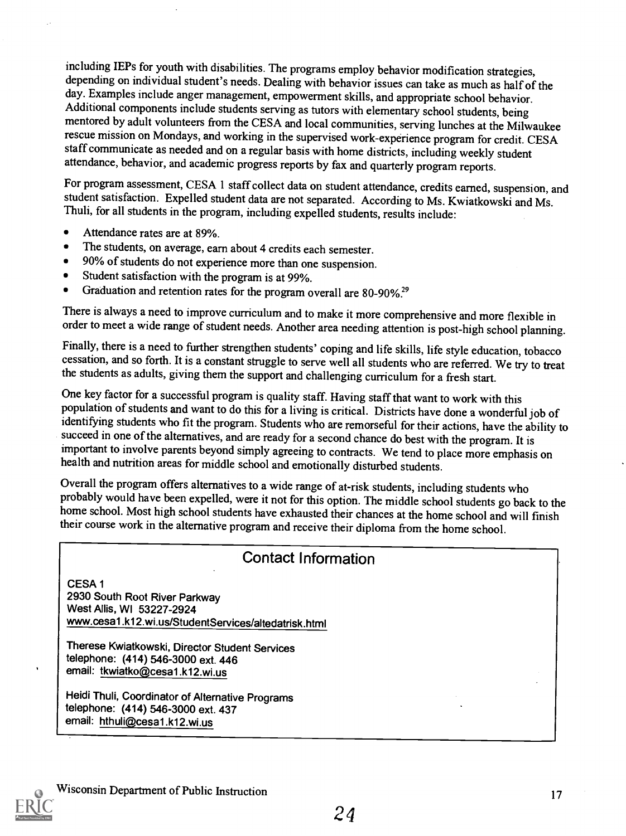including IEPs for youth with disabilities. The programs employ behavior modification strategies, depending on individual student's needs. Dealing with behavior issues can take as much as half of the day. Examples include anger management, empowerment skills, and appropriate school behavior. Additional components include students serving as tutors with elementary school students, being mentored by adult volunteers from the CESA and local communities, serving lunches at the Milwaukee rescue mission on Mondays, and working in the supervised work-experience program for credit. CESA staff communicate as needed and on a regular basis with home districts, including weekly student attendance, behavior, and academic progress reports by fax and quarterly program reports.

For program assessment, CESA 1 staff collect data on student attendance, credits earned, suspension, and student satisfaction. Expelled student data are not separated. According to Ms. Kwiatkowski and Ms. Thuli, for all students in the program, including expelled students, results include:

- $\bullet$ Attendance rates are at 89%.
- The students, on average, earn about 4 credits each semester.
- 90% of students do not experience more than one suspension.  $\bullet$
- Student satisfaction with the program is at 99%.  $\bullet$
- Graduation and retention rates for the program overall are  $80-90\%$ <sup>29</sup>  $\bullet$

There is always a need to improve curriculum and to make it more comprehensive and more flexible in order to meet a wide range of student needs. Another area needing attention is post-high school planning.

Finally, there is a need to further strengthen students' coping and life skills, life style education, tobacco cessation, and so forth. It is a constant struggle to serve well all students who are referred. We try to treat the students as adults, giving them the support and challenging curriculum for a fresh start.

One key factor for a successful program is quality staff. Having staff that want to work with this population of students and want to do this for a living is critical. Districts have done a wonderful job of identifying students who fit the program. Students who are remorseful for their actions, have the ability to succeed in one of the alternatives, and are ready for a second chance do best with the program. It is important to involve parents beyond simply agreeing to contracts. We tend to place more emphasis on health and nutrition areas for middle school and emotionally disturbed students.

Overall the program offers alternatives to a wide range of at-risk students, including students who home school. Most high school students have exhausted their chances at the home school and will finish their course work in the alternative program and receive their diploma from the home school.

### Contact Information

CESA <sup>1</sup> 2930 South Root River Parkway West Allis, WI 53227-2924 www.cesal.k12.wi.us/StudentServices/altedatrisk.html

Therese Kwiatkowski, Director Student Services telephone: (414) 546-3000 ext. 446 email: tkwiatko@cesa1.k12.wi.us

Heidi Thuli, Coordinator of Alternative Programs telephone: (414) 546-3000 ext. 437 email: hthuli@cesa1.k12.wi.us

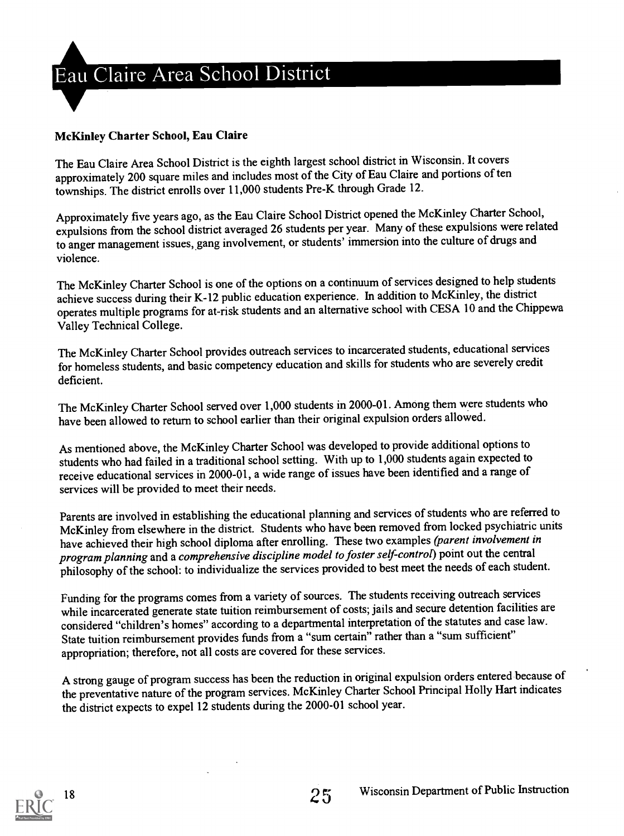

#### McKinley Charter School, Eau Claire

The Eau Claire Area School District is the eighth largest school district in Wisconsin. It covers approximately 200 square miles and includes most of the City of EauClaire and portions of ten townships. The district enrolls over 11,000 students Pre-K through Grade 12.

Approximately five years ago, as the Eau Claire School District opened the McKinley Charter School, expulsions from the school district averaged 26 students per year. Many of these expulsions were related to anger management issues, gang involvement, or students' immersion into the culture of drugs and violence.

The McKinley Charter School is one of the options on a continuum of services designed to help students achieve success during their K-12 public education experience. In addition to McKinley, the district operates multiple programs for at-risk students and an alternative school with CESA 10 and the Chippewa Valley Technical College.

The McKinley Charter School provides outreach services to incarcerated students, educational services for homeless students, and basic competency education and skills for students who are severely credit deficient.

The McKinley Charter School served over 1,000 students in 2000-01. Among them were students who have been allowed to return to school earlier than their original expulsion orders allowed.

As mentioned above, the McKinley Charter School was developed to provide additional options to students who had failed in a traditional school setting. With up to 1,000 students again expected to receive educational services in 2000-01, a wide range of issues have been identified and a range of services will be provided to meet their needs.

Parents are involved in establishing the educational planning and services of students who are referred to McKinley from elsewhere in the district. Students who have been removed from locked psychiatric units have achieved their high school diploma after enrolling. These two examples (parent involvement in program planning and a comprehensive discipline model to foster self-control) point out the central philosophy of the school: to individualize the services provided to best meet the needs of each student.

Funding for the programs comes from a variety of sources. The students receiving outreach services while incarcerated generate state tuition reimbursement of costs; jails and secure detention facilities are considered "children's homes" according to a departmental interpretation of the statutes and case law. State tuition reimbursement provides funds from a "sum certain" rather than a "sum sufficient" appropriation; therefore, not all costs are covered for these services.

A strong gauge of program success has been the reduction in original expulsion orders entered because of the preventative nature of the program services. McKinley Charter School Principal Holly Hart indicates the district expects to expel 12 students during the 2000-01 school year.

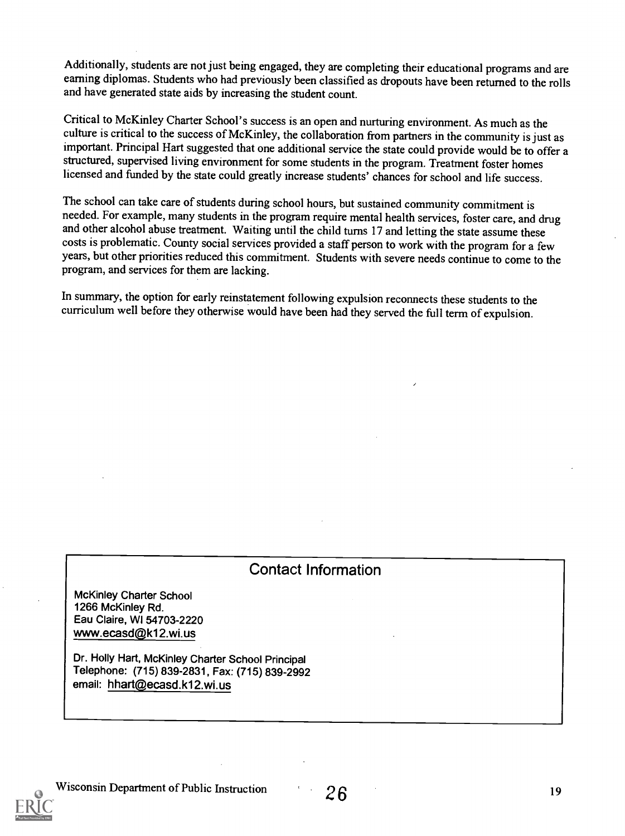Additionally, students are not just being engaged, they are completing their educational programs and are earning diplomas. Students who had previously been classified as dropouts have been returned to the rolls and have generated state aids by increasing the student count.

Critical to McKinley Charter School's success is an open and nurturing environment. As much as the culture is critical to the success of McKinley, the collaboration from partners in the community is just as important. Principal Hart suggested that one additional service the state could provide would be to offer a structured, supervised living environment for some students in the program. Treatment foster homes licensed and funded by the state could greatly increase students' chances for school and life success.

The school can take care of students during school hours, but sustained community commitment is needed. For example, many students in the program require mental health services, foster care, and drug and other alcohol abuse treatment. Waiting until the child turns 17 and letting the state assume these costs is problematic. County social services provided a staff person to work with the program for a few years, but other priorities reduced this commitment. Students with severe needs continue to come to the program, and services for them are lacking.

In summary, the option for early reinstatement following expulsion reconnects these students to the curriculum well before they otherwise would have been had they served the full term of expulsion.

### Contact Information

McKinley Charter School 1266 McKinley Rd. Eau Claire, WI 54703-2220 www.ecasd@k12.wi.us

Dr. Holly Hart, McKinley Charter School Principal Telephone: (715) 839-2831, Fax: (715) 839-2992 email: hhart@ecasd.k12.wi.us

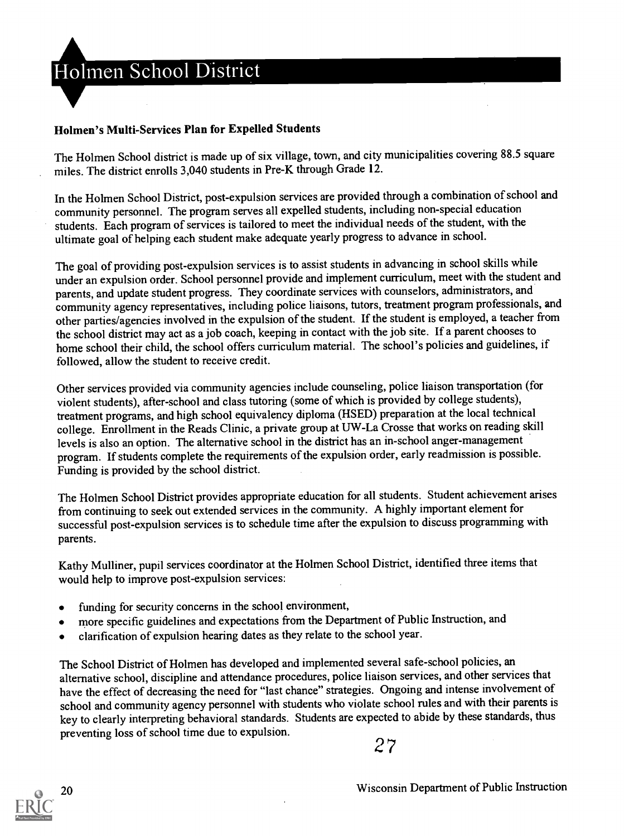Holmen School District

#### Holmen's Multi-Services Plan for Expelled Students

The Holmen School district is made up of six village, town, and city municipalities covering 88.5 square miles. The district enrolls 3,040 students in Pre-K through Grade 12.

In the Holmen School District, post-expulsion services are provided through a combination of school and community personnel. The program serves all expelled students, including non-special education students. Each program of services is tailored to meet the individual needs of the student, with the ultimate goal of helping each student make adequate yearly progress to advance in school.

The goal of providing post-expulsion services is to assist students in advancing in school skills while under an expulsion order. School personnel provide and implement curriculum, meet with the student and parents, and update student progress. They coordinate services with counselors, administrators, and community agency representatives, including police liaisons, tutors, treatment program professionals, and other parties/agencies involved in the expulsion of the student. If the student is employed, a teacher from the school district may act as a job coach, keeping in contact with the job site. If a parent chooses to home school their child, the school offers curriculum material. The school's policies and guidelines, if followed, allow the student to receive credit.

Other services provided via community agencies include counseling, police liaison transportation (for violent students), after-school and class tutoring (some of which is provided by college students), treatment programs, and high school equivalency diploma (HSED) preparation at the local technical college. Enrollment in the Reads Clinic, a private group at UW-La Crosse that works on reading skill levels is also an option. The alternative school in the district has an in-school anger-management program. If students complete the requirements of the expulsion order, early readmission is possible. Funding is provided by the school district.

The Holmen School District provides appropriate education for all students. Student achievement arises from continuing to seek out extended services in the community. A highly important element for successful post-expulsion services is to schedule time after the expulsion to discuss programming with parents.

Kathy Mulliner, pupil services coordinator at the Holmen School District, identified three items that would help to improve post-expulsion services:

- funding for security concerns in the school environment,
- more specific guidelines and expectations from the Department of Public Instruction, and  $\bullet$
- clarification of expulsion hearing dates as they relate to the school year.  $\bullet$

The School District of Holmen has developed and implemented several safe-school policies, an alternative school, discipline and attendance procedures, police liaison services, and other services that have the effect of decreasing the need for "last chance" strategies. Ongoing and intense involvement of school and community agency personnel with students who violate school rules and with their parents is key to clearly interpreting behavioral standards. Students are expected to abide by these standards, thus preventing loss of school time due to expulsion.

2 7

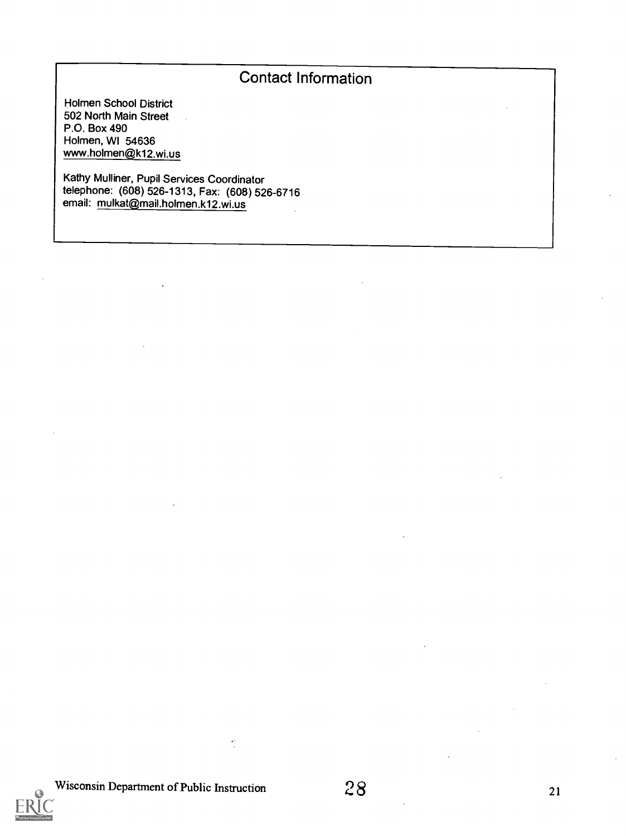# Contact Information

Holmen School District 502 North Main Street P.O. Box 490 Holmen, WI 54636 www.holmen@k12.wi.us

Kathy Mulliner, Pupil Services Coordinator telephone: (608) 526-1313, Fax: (608) 526-6716 email: mulkat@mail.holmen.k12.wi.us



 $\ddot{\cdot}$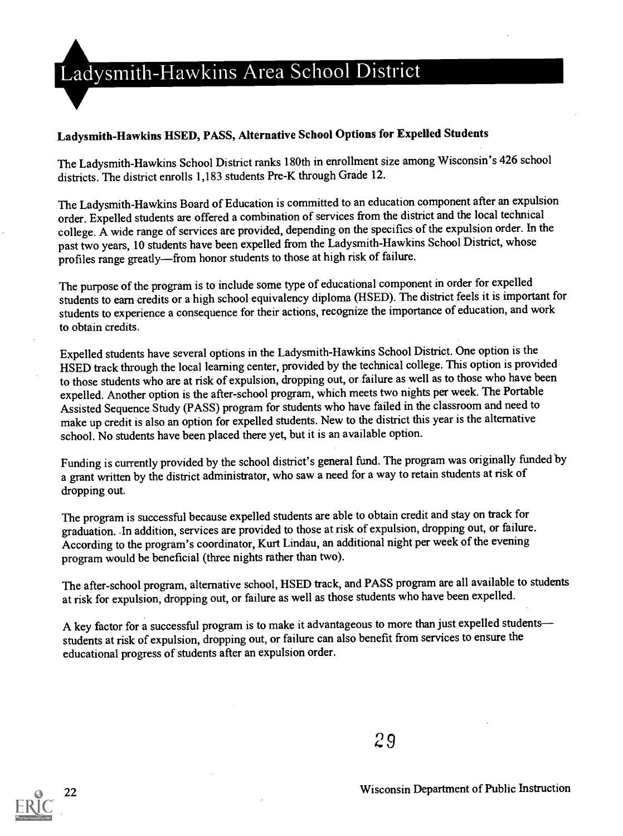# Ladysmith-Hawkins Area School District

#### Ladysmith-Hawkins HSED, PASS, Alternative School Options for Expelled Students

The Ladysmith-Hawkins School District ranks 180th in enrollment size among Wisconsin's 426 school districts. The district enrolls 1,183 students Pre-K through Grade 12.

The Ladysmith-Hawkins Board of Education is committed to an education component after an expulsion order. Expelled students are offered a combination of services from the district and the local technical college. A wide range of services are provided, depending on the specifics of the expulsion order. In the past two years, 10 students have been expelled from the Ladysmith-Hawkins School District, whose profiles range greatly—from honor students to those at high risk of failure.

The purpose of the program is to include some type of educational component in order for expelled students to earn credits or a high school equivalency diploma (HSED). The district feels it is important for students to experience a consequence for their actions, recognize the importance of education, and work to obtain credits.

Expelled students have several options in the Ladysmith-Hawkins School District. One option is the HSED track through the local learning center, provided by the technical college. This option is provided to those students who are at risk of expulsion, dropping out, or failure as well as to those who have been expelled. Another option is the after-school program, which meets two nights per week. The Portable Assisted Sequence Study (PASS) program for students who have failed in the classroom and need to make up credit is also an option for expelled students. New to the district this year is the alternative school. No students have been placed there yet, but it is an available option.

Funding is currently provided by the school district's general fund. The program was originally funded by a grant written by the district administrator, who saw a need for a way to retain students at risk of dropping out.

The program is successful because expelled students are able to obtain credit and stay on track for graduation. -In addition, services are provided to those at risk of expulsion, dropping out, or failure. According to the program's coordinator, Kurt Lindau, an additional night per week of the evening program would be beneficial (three nights rather than two).

The after-school program, alternative school, HSED track, and PASS program are all available to students at risk for expulsion, dropping out, or failure as well as those students who have been expelled.

A key factor for a successful program is to make it advantageous to more than just expelled students students at risk of expulsion, dropping out, or failure can also benefit from services to ensure the educational progress of students after an expulsion order.

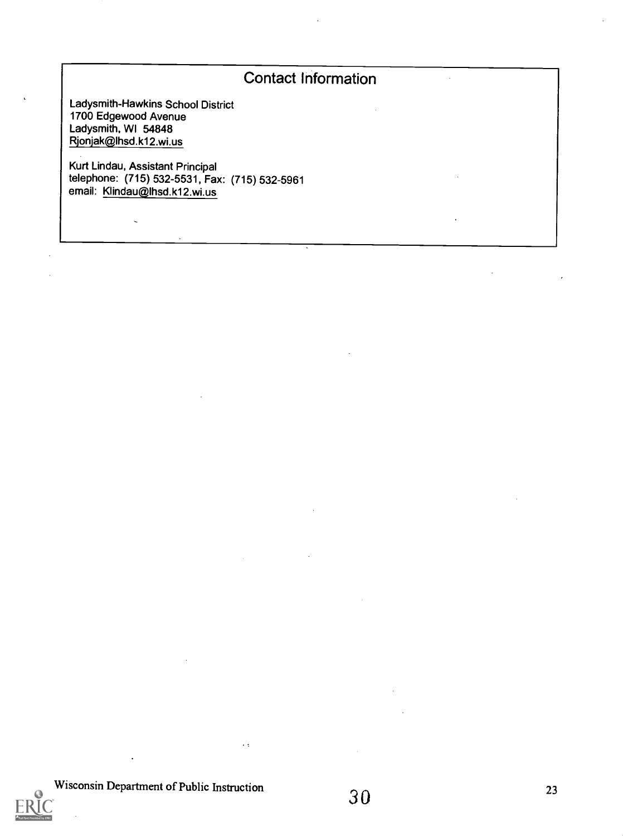# Contact Information

Ladysmith-Hawkins School District 1700 Edgewood Avenue Ladysmith, WI 54848 Rjonjak@lhsd.k12.wi.us

 $\ddot{\phantom{0}}$ 

Kurt Lindau, Assistant Principal telephone: (715) 532-5531, Fax: (715) 532-5961 email: Klindau@lhsd.k12.wi.us



L.

 $\epsilon$   $\pm$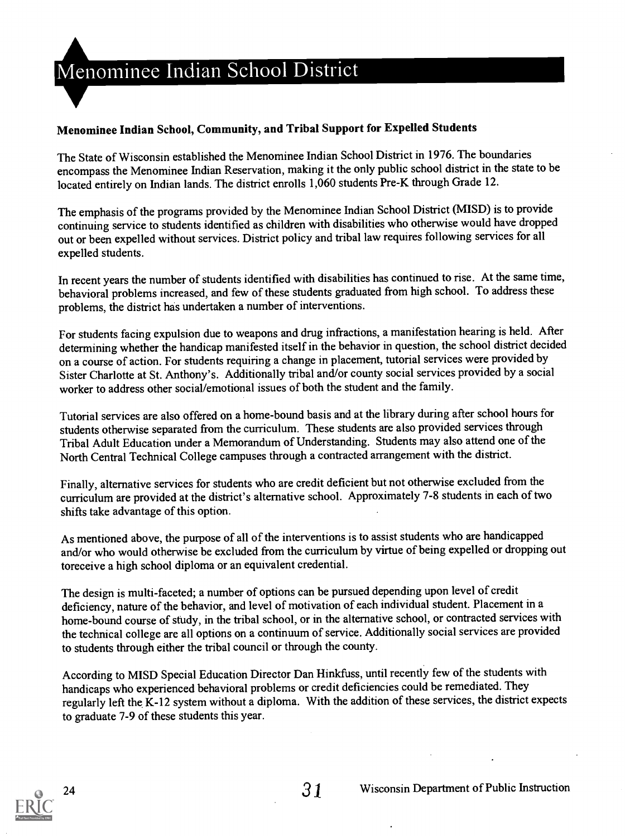

#### Menominee Indian School, Community, and Tribal Support for Expelled Students

The State of Wisconsin established the Menominee Indian School District in 1976. The boundaries encompass the Menominee Indian Reservation, making it the only public school district in the state to be located entirely on Indian lands. The district enrolls 1,060 students Pre-K through Grade 12.

The emphasis of the programs provided by the Menominee Indian School District (MISD) is to provide continuing service to students identified as children with disabilities who otherwise would have dropped out or been expelled without services. District policy and tribal law requires following services for all expelled students.

In recent years the number of students identified with disabilities has continued to rise. At the same time, behavioral problems increased, and few of these students graduated from high school. To address these problems, the district has undertaken a number of interventions.

For students facing expulsion due to weapons and drug infractions, a manifestation hearing is held. After determining whether the handicap manifested itself in the behavior in question, the school district decided on a course of action. For students requiring a change in placement, tutorial services were provided by Sister Charlotte at St. Anthony's. Additionally tribal and/or county social services provided by a social worker to address other social/emotional issues of both the student and the family.

Tutorial services are also offered on a home-bound basis and at the library during after school hours for students otherwise separated from the curriculum. These students are also provided services through Tribal Adult Education under a Memorandum of Understanding. Students may also attend one of the North Central Technical College campuses through a contracted arrangement with the district.

Finally, alternative services for students who are credit deficient but not otherwise excluded from the curriculum are provided at the district's alternative school. Approximately 7-8 students in each of two shifts take advantage of this option.

As mentioned above, the purpose of all of the interventions is to assist students who are handicapped and/or who would otherwise be excluded from the curriculum by virtue of being expelled or dropping out toreceive a high school diploma or an equivalent credential.

The design is multi-faceted; a number of options can be pursued depending upon level of credit deficiency, nature of the behavior, and level of motivation of each individual student. Placement in a home-bound course of study, in the tribal school, or in the alternative school, or contracted services with the technical college are all options on a continuum of service. Additionally social services are provided to students through either the tribal council or through the county.

According to MISD Special Education Director Dan Hinkfuss, until recently few of the students with handicaps who experienced behavioral problems or credit deficiencies could be remediated. They regularly left the K-12 system without a diploma. With the addition of these services, the district expects to graduate 7-9 of these students this year.

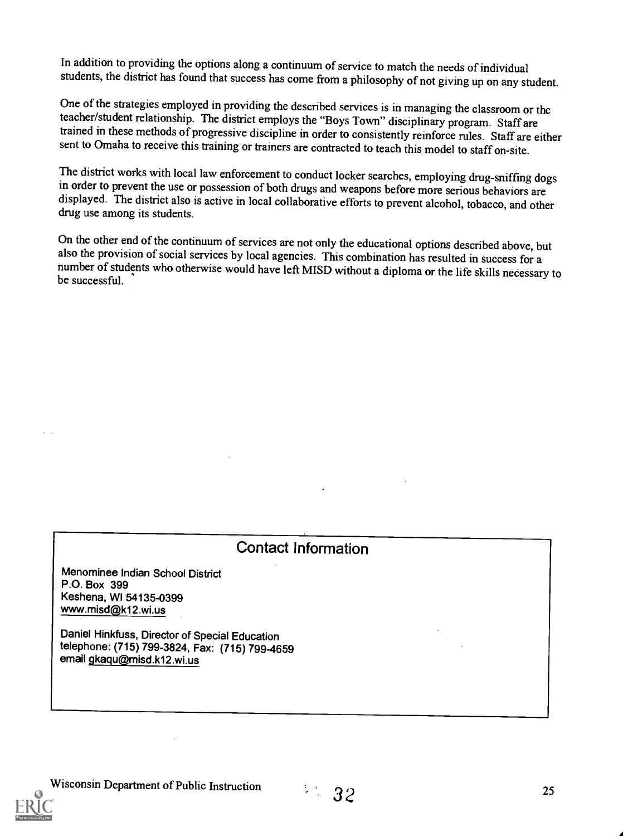In addition to providing the options along a continuum of service to match the needs of individual students, the district has found that success has come from a philosophy of not giving up on any student.

One of the strategies employed in providing the described services is in managing the classroom or the teacher/student relationship. The district employs the "Boys Town" disciplinary program. Staff are trained in these methods of progressive discipline in order to consistently reinforce rules. Staff are either sent to Omaha to receive this training or trainers are contracted to teach this model to staff on-site.

The district works with local law enforcement to conduct locker searches, employing drug-sniffing dogs in order to prevent the use or possession of both drugs and weapons before more serious behaviors are displayed. The district also is active in local collaborative efforts to prevent alcohol, tobacco, and other drug use among its students.

On the other end of the continuum of services are not only the educational options described above, but also the provision of social services by local agencies. This combination has resulted in success for a number of students who otherwise would have left MISD without a diploma or the life skills necessary to be successful.

### Contact Information

Menominee Indian School District P.O. Box 399 Keshena, WI 54135-0399 www.misd@k12.wi.us

Daniel Hinkfuss, Director of Special Education telephone: (715) 799-3824, Fax: (715) 799-4659 email gkaqu@misd.k12.wi.us

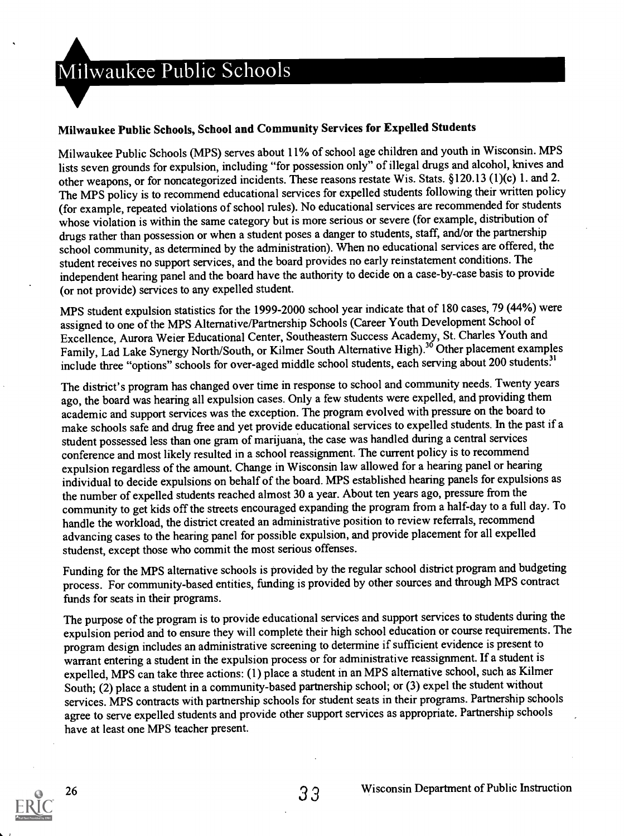#### Milwaukee Public Schools, School and Community Services for Expelled Students

Milwaukee Public Schools (MPS) serves about 11% of school age children and youth in Wisconsin. MPS lists seven grounds for expulsion, including "for possession only" of illegal drugs and alcohol, knives and other weapons, or for noncategorized incidents. These reasons restate Wis. Stats. §120.13 (1)(c) 1. and 2. The MPS policy is to recommend educational services for expelled students following their written policy (for example, repeated violations of school rules). No educational services are recommended for students whose violation is within the same category but is more serious or severe (for example, distribution of drugs rather than possession or when a student poses a danger to students, staff, and/or the partnership school community, as determined by the administration). When no educational services are offered, the student receives no support services, and the board provides no early reinstatement conditions. The independent hearing panel and the board have the authority to decide on a case-by-case basis to provide (or not provide) services to any expelled student.

MPS student expulsion statistics for the 1999-2000 school year indicate that of 180 cases, 79 (44%) were assigned to one of the MPS Alternative/Partnership Schools (Career Youth Development School of Excellence, Aurora Weier Educational Center, Southeastern Success Academy, St. Charles Youth and Family, Lad Lake Synergy North/South, or Kilmer South Alternative High).<sup>36</sup> Other placement examples include three "options" schools for over-aged middle school students, each serving about 200 students?'

The district's program has changed over time in response to school and community needs. Twenty years ago, the board was hearing all expulsion cases. Only a few students were expelled, and providing them academic and support services was the exception. The program evolved with pressure on the board to make schools safe and drug free and yet provide educational services to expelled students. In the past if a student possessed less than one gram of marijuana, the case was handled during a central services conference and most likely resulted in a school reassignment. The current policy is to recommend expulsion regardless of the amount. Change in Wisconsin law allowed for a hearing panel or hearing individual to decide expulsions on behalf of the board. MPS established hearing panels for expulsions as the number of expelled students reached almost 30 a year. About ten years ago, pressure from the community to get kids off the streets encouraged expanding the program from a half-day to a full day. To handle the workload, the district created an administrative position to review referrals, recommend advancing cases to the hearing panel for possible expulsion, and provide placement for all expelled studenst, except those who commit the most serious offenses.

Funding for the MPS alternative schools is provided by the regular school district programand budgeting process. For community-based entities, funding is provided by other sources and through MPS contract funds for seats in their programs.

The purpose of the program is to provide educational services and support services to students during the expulsion period and to ensure they will complete their high school education or course requirements. The program design includes an administrative screening to determine if sufficient evidence is present to warrant entering a student in the expulsion process or for administrative reassignment. If a student is expelled, MPS can take three actions: (1) place a student in an MPS alternative school, such as Kilmer South; (2) place a student in a community-based partnership school; or (3) expel the student without services. MPS contracts with partnership schools for student seats in their programs. Partnership schools agree to serve expelled students and provide other support services as appropriate. Partnership schools have at least one MPS teacher present.

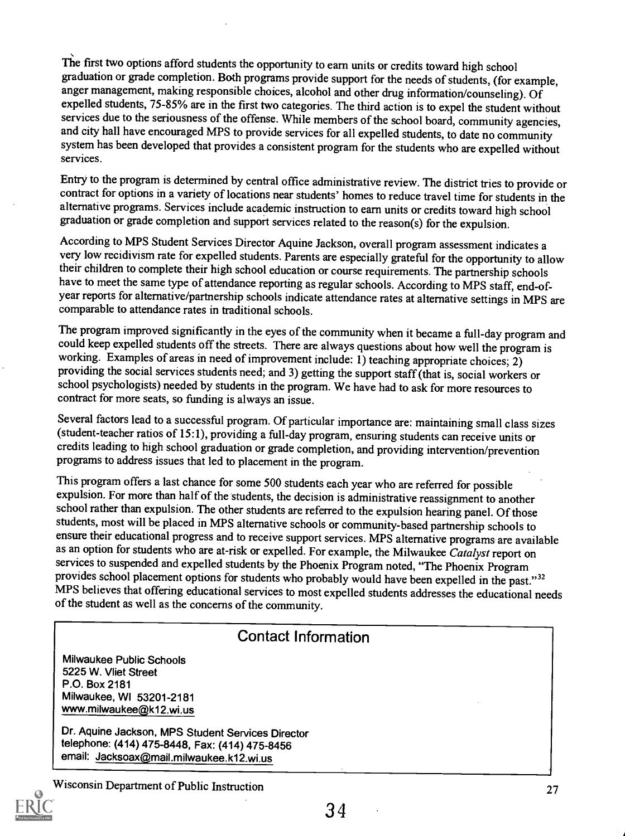The first two options afford students the opportunity to earn units or credits toward high school graduation or grade completion. Both programs provide support for the needs of students, (for example, anger management, making responsible choices, alcohol and other drug information/counseling). Of expelled students, 75-85% are in the first two categories. The third action is to expel the student without services due to the seriousness of the offense. While members of the school board, community agencies, and city hall have encouraged MPS to provide services for all expelled students, to date no community system has been developed that provides a consistent program for the students who are expelled without services.

Entry to the program is determined by central office administrative review. The district tries to provide or contract for options in a variety of locations near students' homes to reduce travel time for students in the alternative programs. Services include academic instruction to earn units or credits toward high school graduation or grade completion and support services related to the reason(s) for the expulsion.

According to MPS Student Services Director Aquine Jackson, overall program assessment indicates a very low recidivism rate for expelled students. Parents are especially grateful for the opportunity to allow their children to complete their high school education or course requirements. The partnership schools have to meet the same type of attendance reporting as regular schools. According to MPS staff, end-ofyear reports for alternative/partnership schools indicate attendance rates at alternative settings in MPS are comparable to attendance rates in traditional schools.

The program improved significantly in the eyes of the community when it became a full-day program and could keep expelled students off the streets. There are always questions about how well the program is working. Examples of areas in need of improvement include: 1) teaching appropriate choices;  $2)$ providing the social services students need; and 3) getting the support staff (that is, social workers or school psychologists) needed by students in the program. We have had to ask for more resources to contract for more seats, so funding is always an issue.

Several factors lead to a successful program. Of particular importance are: maintaining small class sizes (student-teacher ratios of 15:1), providing a full-day program, ensuring students can receive units or credits leading to high school graduation or grade completion, and providing intervention/prevention programs to address issues that led to placement in the program.

This program offers a last chance for some 500 students each year who are referred for possible expulsion. For more than half of the students, the decision is administrative reassignment to another school rather than expulsion. The other students are referred to the expulsion hearing panel. Of those students, most will be placed in MPS alternative schools or community-based partnership schools to ensure their educational progress and to receive support services. MPS alternative programs are available as an option for students who are at-risk or expelled. For example, the Milwaukee Catalyst report on services to suspended and expelled students by the Phoenix Program noted, "The Phoenix Program<br>provides school placement options for students who probably would have been expelled in the past."<sup>32</sup> MPS believes that offering educational services to most expelled students addresses the educational needs of the student as well as the concerns of the community.

# Contact Information

Milwaukee Public Schools 5225 W. Vliet Street P.O. Box 2181 Milwaukee, WI 53201-2181 www.milwaukee@k12.wi.us

Dr. Aquine Jackson, MPS Student Services Director telephone: (414) 475-8448, Fax: (414) 475-8456 email: Jacksoax@mail.milwaukee.k12.wi.us

Wisconsin Department of Public Instruction



27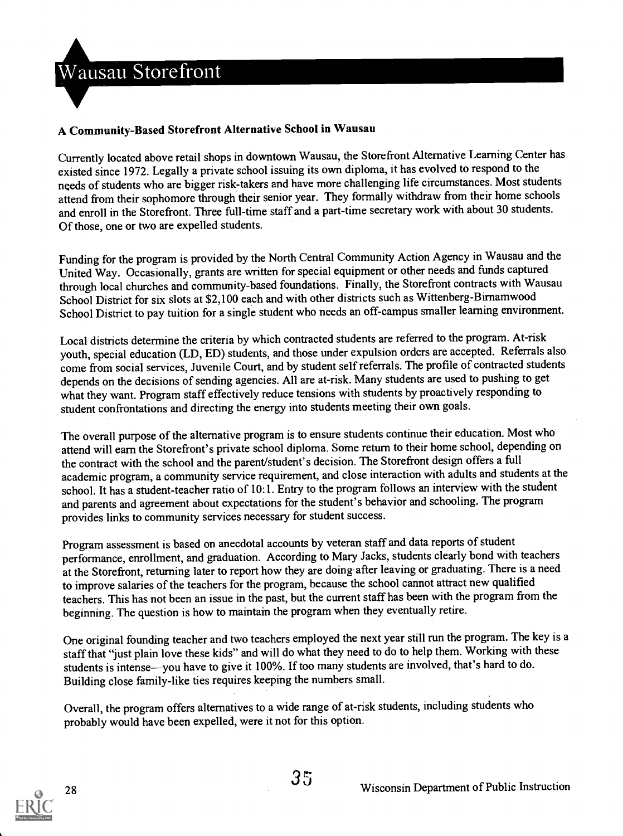

#### A Community-Based Storefront Alternative School in Wausau

Currently located above retail shops in downtown Wausau, the Storefront Alternative Learning Center has existed since 1972. Legally a private school issuing its own diploma, it has evolved to respond to the needs of students who are bigger risk-takers and have more challenging life circumstances. Most students attend from their sophomore through their senior year. They formally withdraw from their home schools and enroll in the Storefront. Three full-time staff and a part-time secretary work with about 30 students. Of those, one or two are expelled students.

Funding for the program is provided by the North Central Community Action Agency in Wausau and the United Way. Occasionally, grants are written for special equipment or other needs and funds captured through local churches and community-based foundations. Finally, the Storefront contracts with Wausau School District for six slots at \$2,100 each and with other districts such as Wittenberg-Birnamwood School District to pay tuition for a single student who needs an off-campus smaller learning environment.

Local districts determine the criteria by which contracted students are referred to the program. At-risk youth, special education (LD, ED) students, and those under expulsion orders are accepted. Referrals also come from social services, Juvenile Court, and by student self referrals. The profile of contracted students depends on the decisions of sending agencies. All are at-risk. Many students are used to pushing to get what they want. Program staff effectively reduce tensions with students by proactively responding to student confrontations and directing the energy into students meeting their own goals.

The overall purpose of the alternative program is to ensure students continue their education. Most who attend will earn the Storefront's private school diploma. Some return to their home school, depending on the contract with the school and the parent/student's decision. The Storefront design offers a full academic program, a community service requirement, and close interaction with adults and students at the school. It has a student-teacher ratio of 10:1. Entry to the program follows an interview with the student and parents and agreement about expectations for the student's behavior and schooling. The program provides links to community services necessary for student success.

Program assessment is based on anecdotal accounts by veteran staff and data reports of student performance, enrollment, and graduation. According to Mary Jacks, students clearly bond with teachers at the Storefront, returning later to report how they are doing after leaving or graduating. There is a need to improve salaries of the teachers for the program, because the school cannot attract new qualified teachers. This has not been an issue in the past, but the current staff has been with the program from the beginning. The question is how to maintain the program when they eventually retire.

One original founding teacher and two teachers employed the next year still run the program. The key is a staff that "just plain love these kids" and will do what they need to do to help them. Working with these students is intense-you have to give it 100%. If too many students are involved, that's hard to do. Building close family-like ties requires keeping the numbers small.

Overall, the program offers alternatives to a wide range of at-risk students, including students who probably would have been expelled, were it not for this option.

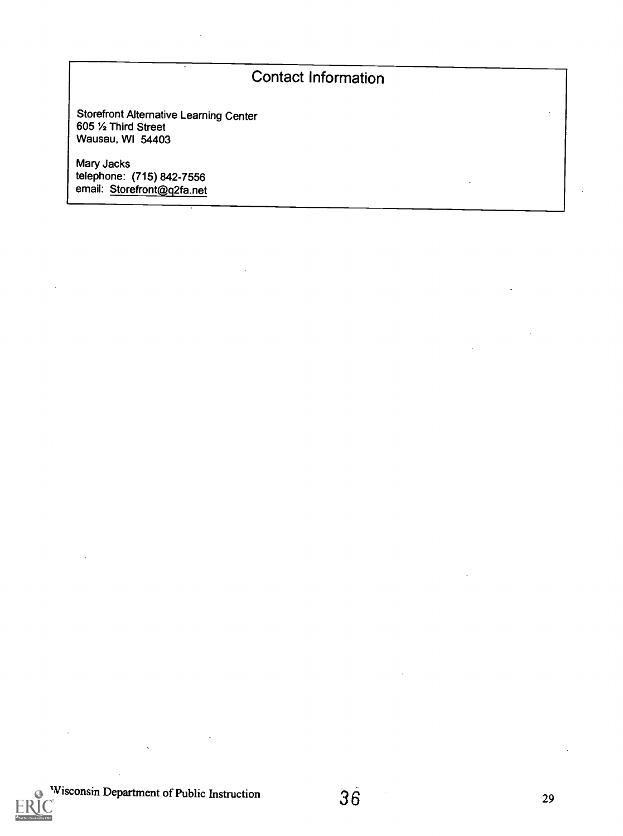# Contact Information

Storefront Alternative Learning Center 605 1/2 Third Street Wausau, WI 54403

Mary Jacks telephone: (715) 842-7556 email: <u>Storefront@q</u>2fa.net

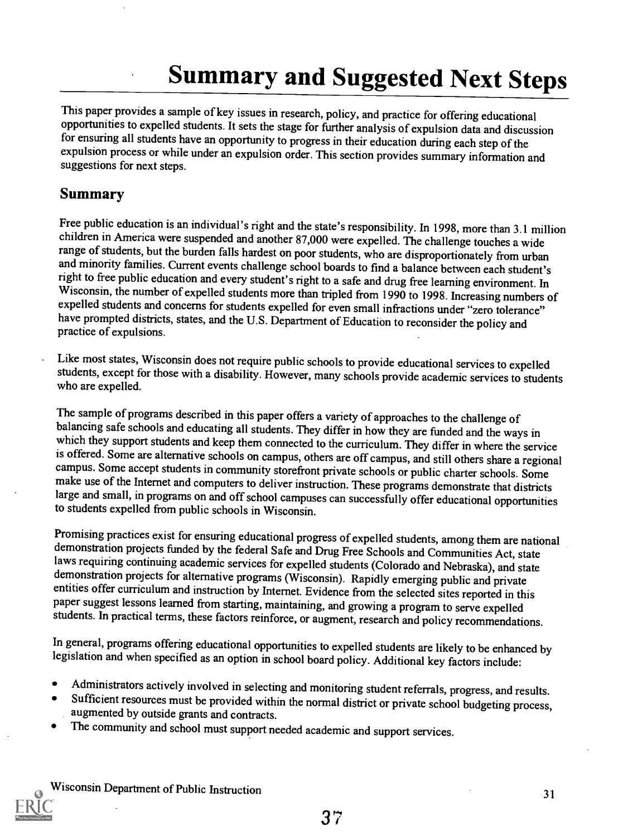# Summary and Suggested Next Steps

This paper provides a sample of key issues in research, policy, and practice for offering educational opportunities to expelled students. It sets the stage for further analysis of expulsion data and discussion for ensuring expulsion process or while under an expulsion order. This section provides summary information and suggestions for next steps.

#### Summary

Free public education is an individual's right and the state's responsibility. In 1998, more than 3.1 million children in America were suspended and another 87,000 were expelled. The challenge touches a wide range of students, but the burden falls hardest on poor students, who are disproportionately from urban and minority families. Current events challenge school boards to find a balance between each student's right to free public education and every student's right to a safe and drug free learning environment. In Wisconsin, the number of expelled students more than tripled from 1990 to 1998. Increasing numbers of expelled students and concerns for students expelled for even small infractions under "zero tolerance" have prompted districts, states, and the U.S. Department of Education to reconsider the policy and practice of expulsions.

Like most states, Wisconsin does not require public schools to provide educational services to expelled students, except for those with a disability. However, many schools provide academic services to students who are expe

The sample of programs described in this paper offers a variety of approaches to the challenge of balancing safe schools and educating all students. They differ in how they are funded and the ways in which they support stu campus. Some accept students in community storefront private schools or public charter schools. Some make use of the Internet and computers to deliver instruction. These programs demonstrate that districts large and small,

Promising practices exist for ensuring educational progress of expelled students, among them are national demonstration projects funded by the federal Safe and Drug Free Schools and Communities Act, state laws requiring co demonstration projects for alternative programs (Wisconsin). Rapidly emerging public and private paper suggest lessons learned from starting, maintaining, and growing a program to serve expelled students. In practical terms, these factors reinforce, or augment, research and policy recommendations.

In general, programs offering educational opportunities to expelled students are likely to be enhanced by legislation and when specified as an option in school board policy. Additional key factors include:

- Administrators actively involved in selecting and monitoring student referrals, progress, and results.
- Sufficient resources must be provided within the normal district or private school budgeting process, augmented by outside grants and contracts.
- The community and school must support needed academic and support services.

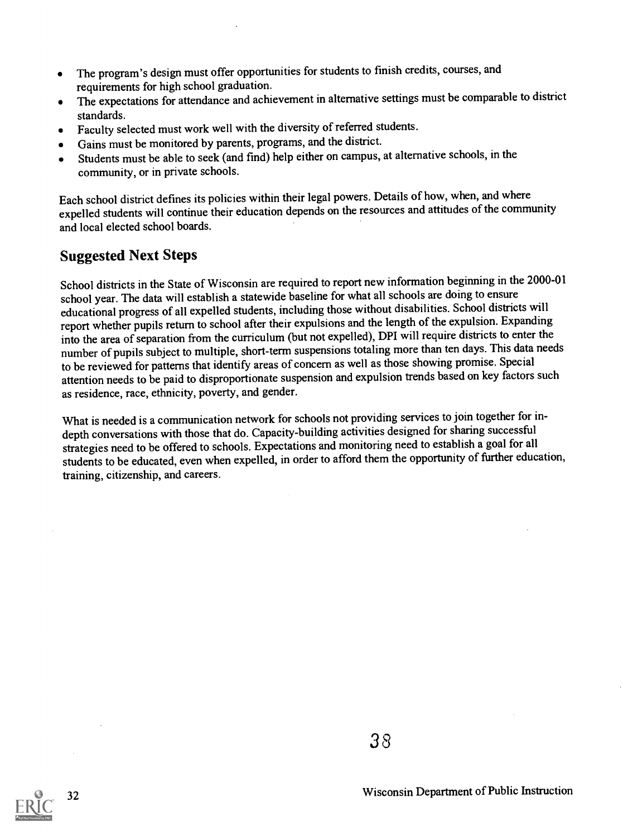- The program's design must offer opportunities for students to finish credits, courses, and requirements for high school graduation.
- The expectations for attendance and achievement in alternative settings must be comparable to district  $\bullet$ standards.
- Faculty selected must work well with the diversity of referred students.  $\bullet$
- Gains must be monitored by parents, programs, and the district.  $\bullet$
- Students must be able to seek (and find) help either on campus, at alternative schools, in the community, or in private schools.

Each school district defines its policies within their legal powers. Details of how, when, and where expelled students will continue their education depends on the resources and attitudes of the community and local elected school boards.

### Suggested Next Steps

School districts in the State of Wisconsin are required to report new information beginning in the 2000-01 school year. The data will establish a statewide baseline for what all schools are doing to ensure educational progress of all expelled students, including those without disabilities. School districts will report whether pupils return to school after their expulsions and the length of the expulsion. Expanding into the area of separation from the curriculum (but not expelled), DPI will require districts to enter the number of pupils subject to multiple, short-term suspensionstotaling more than ten days. This data needs to be reviewed for patterns that identify areas of concern as well as those showing promise. Special attention needs to be paid to disproportionate suspension and expulsion trends based on key factors such as residence, race, ethnicity, poverty, and gender.

What is needed is a communication network for schools not providing services to join together for indepth conversations with those that do. Capacity-building activities designed for sharing successful strategies need to be offered to schools. Expectations and monitoring need to establish a goal for all students to be educated, even when expelled, in order to afford them the opportunity of further education, training, citizenship, and careers.

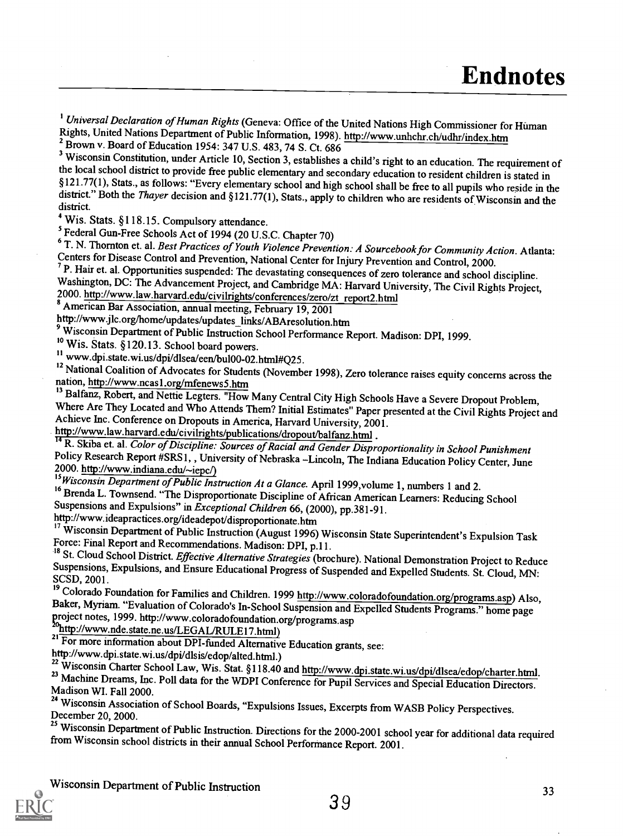<sup>1</sup> Universal Declaration of Human Rights (Geneva: Office of the United Nations High Commissioner for Human Rights, United Nations Department of Public Information, 1998). http://www.unhchr.ch/udhr/index.htm 2 Brown v. Board of Education 1954: 347 U.S. 483, 74 S. Ct. 686

<sup>3</sup> Wisconsin Constitution, under Article 10, Section 3, establishes a child's right to an education. The requirement of the local school district to provide free public elementary and secondary education to resident children is stated in §121.77(1), Stats., as follows: "Every elementary school and high school shall be free to all pupils who district." Both the Thayer decision and §121.77(1), Stats., apply to children who are residents of Wisconsin and the district.

4 Wis. Stats. §118.15. Compulsory attendance.

<sup>5</sup> Federal Gun-Free Schools Act of 1994 (20 U.S.C. Chapter 70)<br><sup>6</sup> T. N. Thornton et. al. *Best Practices of Youth Violence Prevention: A Sourcebook for Community Action. Atlanta:* 

Centers for Disease Control and Prevention, National Center for Injury Prevention and Control, 2000.<br>
<sup>7</sup> P. Hair et. al. Opportunities suspended: The devastating consequences of zero tolerance and school discipline.<br>
Wash

http://www.jlc.org/home/updates/updates\_links/ABAresolution.htm

<sup>9</sup> Wisconsin Department of Public Instruction School Performance Report. Madison: DPI, 1999.<br><sup>10</sup> Wis. Stats. §120.13. School board nowers.

<sup>11</sup> www.dpi.state.wi.us/dpi/dlsea/een/bul00-02.html#Q25.

<sup>12</sup> National Coalition of Advocates for Students (November 1998), Zero tolerance raises equity concerns across the nation, http://www.ncas1.org/mfenews5.htm<br><sup>13</sup> Balfanz, Robert, and Nettie Legters. "How Many Central City

Where Are They Located and Who Attends Them? Initial Estimates" Paper presented at the Civil Rights Project and Achieve Inc. Conference on Dropouts in America, Harvard University, 2001.<br>http://www.law.harvard.edu/civilrigh

<sup>14</sup> R. Skiba et. al. Color of Discipline: Sources of Racial and Gender Disproportionality in School Punishment Policy Research Report #SRS1,, University of Nebraska -Lincoln, The Indiana Education Policy Center, June 2000. http://www.indiana.edu/~iepc/)<br><sup>15</sup>Wisconsin Department of Public Instruction At a Glance. April 1999, volume

<sup>16</sup> Brenda L. Townsend. "The Disproportionate Discipline of African American Learners: Reducing School Suspensions and Expulsions" in *Exceptional Children* 66, (2000), pp.381-91.<br>http://www.ideapractices.org/ideadepot/di

nttp://www.ideapractices.org/ideadepot/disproportionate.htm

17 Wisconsin Department of Public Instruction (August 1996) Wisconsin State Superintendent's Expulsion Task<br>Force: Final Report and Recommendations. Madison: DPI, p.11.

<sup>18</sup> St. Cloud School District. *Effective Alternative Strategies* (brochure). National Demonstration Project to Reduce Suspensions, Expulsions, and Ensure Educational Progress of Suspended and Expelled Students. St. Cloud

Baker, Myriam. "Evaluation of Colorado's In-School Suspension and Expelled Students Programs." home page<br>project notes, 1999. http://www.coloradofoundation.org/programs.asp<br><sup>20</sup>http://www.nde.state.ne.us/LEGAL/RULE17.html)

<sup>21</sup> For more information about DPI-funded Alternative Education grants, see:

http://www.dpi.state.wi.us/dpi/dlsis/edop/alted.html.)<br><sup>22</sup> Wisconsin Charter School Law, Wis. Stat. §118.40 and http://www.dpi.state.wi.us/dpi/dlsea/edop/charter.html. <sup>23</sup> Machine Dreams, Inc. Poll data for the WDPI Conference for Pupil Services and Special Education Directors.<br>Madison WI. Fall 2000.

24 Wisconsin Association of School Boards, "Expulsions Issues, Excerpts from WASB Policy Perspectives.<br>December 20, 2000.

<sup>25</sup> Wisconsin Department of Public Instruction. Directions for the 2000-2001 school year for additional data required from Wisconsin school districts in their annual School Performance Report. 2001.

Wisconsin Department of Public Instruction  $39$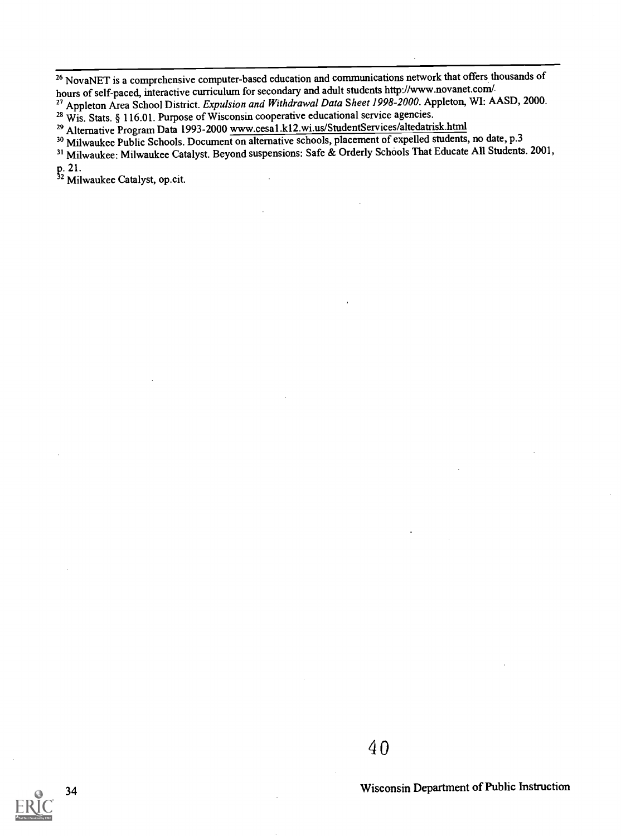<sup>26</sup> NovaNET is a comprehensive computer-based education and communications network that offers thousands of hours of self-paced, interactive curriculum for secondary and adult students http://www.novanet.com/

27 Appleton Area School District. Expulsion and Withdrawal Data Sheet 1998-2000. Appleton, WI: AASD, 2000.

<sup>28</sup> Wis. Stats. § 116.01. Purpose of Wisconsin cooperative educational service agencies.

29 Alternative Program Data 1993-2000 www.cesal.k12.wi.us/StudentServices/altedatrisk.html

30 Milwaukee Public Schools. Document on alternative schools, placement of expelled students, no date, p.3

31 Milwaukee: Milwaukee Catalyst. Beyond suspensions: Safe & Orderly Schools That Educate All Students. 2001, p. 21.

2 Milwaukee Catalyst, op.cit.

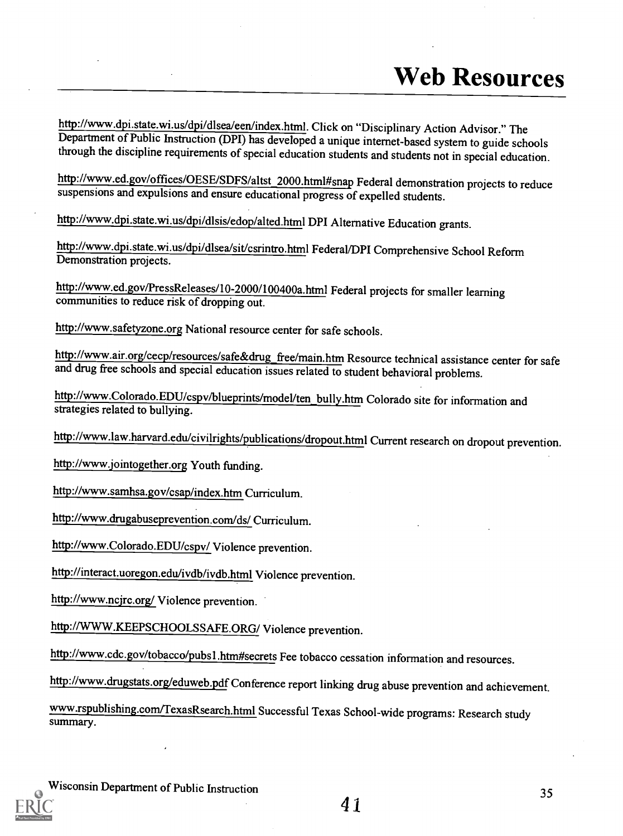http://www.dpi.state.wi.us/dpi/dlsea/een/index.html. Click on "Disciplinary Action Advisor." The Department of Public Instruction (DPI) has developed a unique internet-based system to guide schools through the discipline requirements of special education students and students not in special education.

http://www.ed.gov/offices/OESE/SDFS/altst\_2000.html#snap Federal demonstration projects to reduce suspensions and expulsions and ensure educational progress of expelled students.

http://www.dpi.state.wi.us/dpi/dlsis/edop/alted.html DPI Alternative Education grants.

http://www.dpi.state.wi.us/dpi/dlsealsit/csrintro.html Federal/DPI Comprehensive School Reform Demonstration projects.

http://www.ed.gov/PressReleases/10-2000/100400a.html Federal projects for smaller learning communities to reduce risk of dropping out.

http://www.safetyzone.org National resource center for safe schools.

http://www.air.org/cecp/resources/safe&drug\_free/main.htm Resource technical assistance center for safe and drug free schools and special education issuesrelated to student behavioral problems.

http://www.Colorado.EDU/cspv/blueprints/model/ten bully.htm Colorado site for information and strategies related to bullying.

http://www.law.harvard.edu/civilrights/publications/dropout.html Current research on dropout prevention.

http://www.jointogether.org Youth funding.

http://www.samhsa.gov/csap/index.htm Curriculum.

http://www.drugabuseprevention.com/ds/ Curriculum.

http://www.Colorado.EDU/cspv/ Violence prevention.

http://interact.uoregon.edu/ivdb/ivdb.html Violence prevention.

http://www.ncjrc.org/ Violence prevention.

http://WWW.KEEPSCHOOLSSAFE.ORG/ Violence prevention.

http://www.cdc.gov/tobacco/pubs1 .htm#secrets Fee tobacco cessation information and resources.

http://www.drugstats.org/eduweb.pdf Conference report linking drug abuse prevention and achievement.

www.rspublishing.com/TexasRsearch.html Successful Texas School-wide programs: Research study summary.

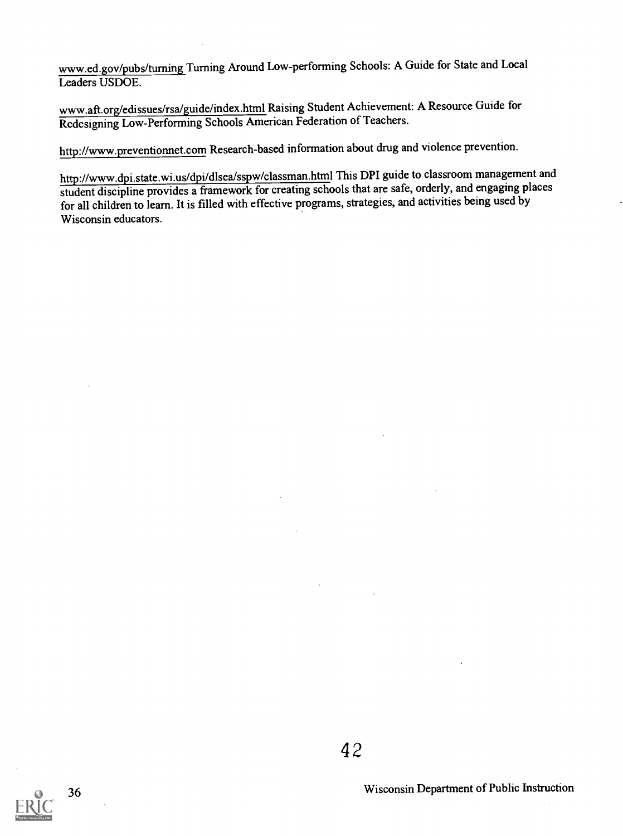www.ed.gov/pubs/tuming Turning Around Low-performing Schools: A Guide for State and Local Leaders USDOE.

www.aft.org/edissues/rsa/guide/index.html Raising Student Achievement: A Resource Guide for Redesigning Low-Performing Schools American Federation of Teachers.

http://www.preventionnet.com Research-based information about drug and violence prevention.

http://www.dpi.state.wi.us/dpi/dlsea/sspw/classman.html This DPI guide to classroom management and student discipline provides a framework for creating schools that are safe, orderly, and engaging places for all children to learn. It is filled with effective programs, strategies, and activities being used by Wisconsin educators.